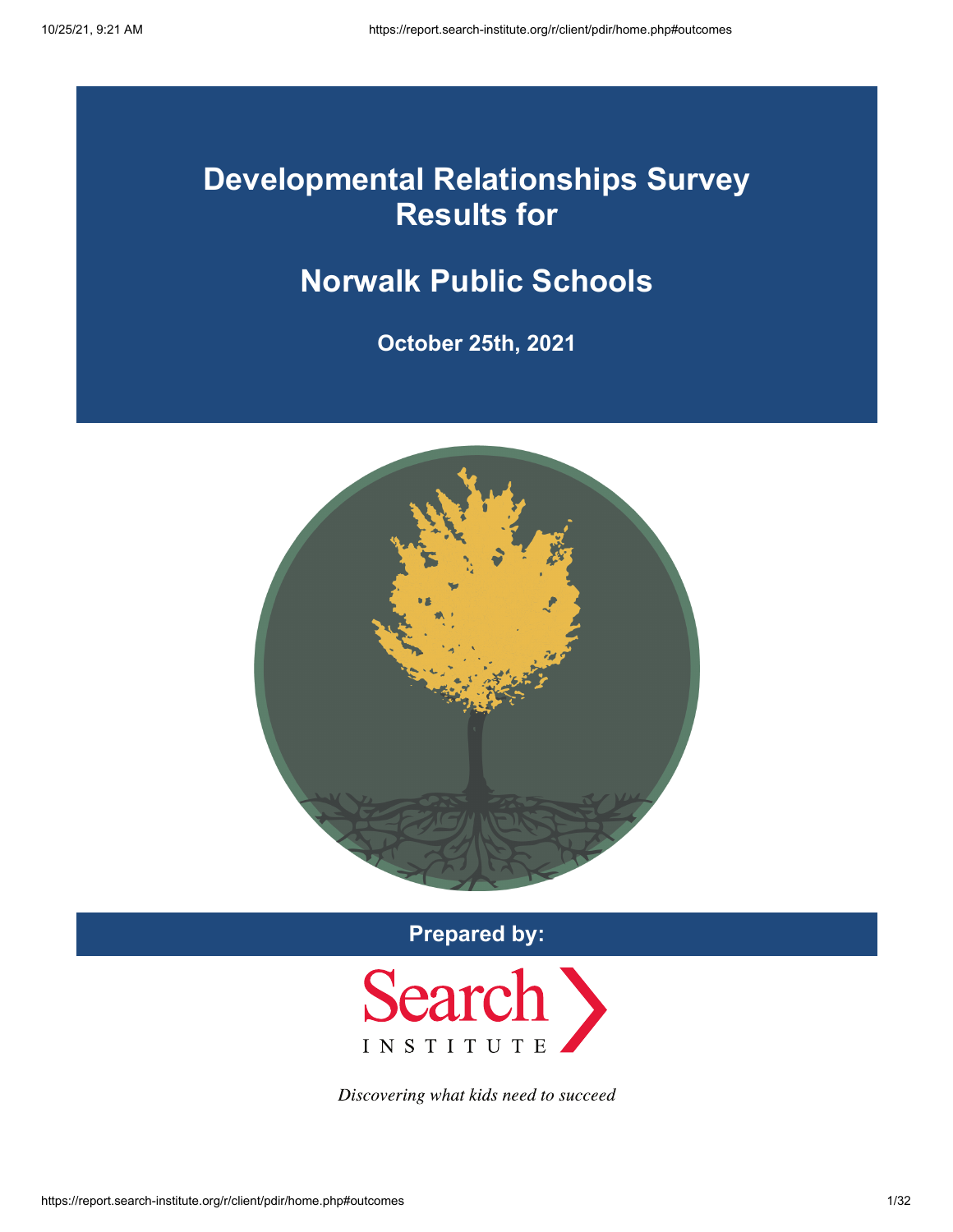# **Developmental Relationships Survey Results for**

# **Norwalk Public Schools**

**October 25th, 2021**



**Prepared by:**



Discovering what kids need to succeed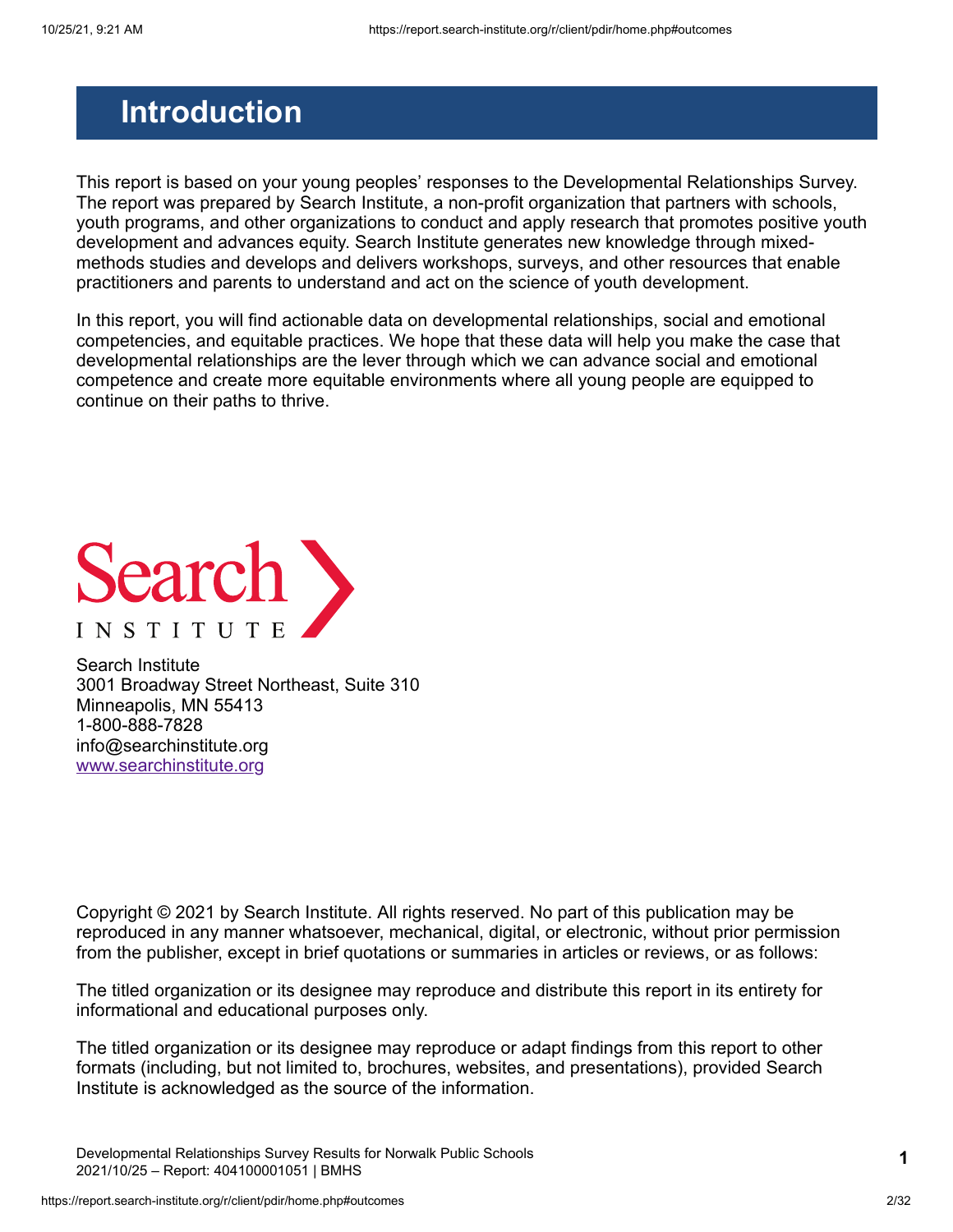# <span id="page-1-0"></span>**Introduction**

This report is based on your young peoples' responses to the Developmental Relationships Survey. The report was prepared by Search Institute, a non-profit organization that partners with schools, youth programs, and other organizations to conduct and apply research that promotes positive youth development and advances equity. Search Institute generates new knowledge through mixedmethods studies and develops and delivers workshops, surveys, and other resources that enable practitioners and parents to understand and act on the science of youth development.

In this report, you will find actionable data on developmental relationships, social and emotional competencies, and equitable practices. We hope that these data will help you make the case that developmental relationships are the lever through which we can advance social and emotional competence and create more equitable environments where all young people are equipped to continue on their paths to thrive.



Search Institute 3001 Broadway Street Northeast, Suite 310 Minneapolis, MN 55413 1-800-888-7828 info@searchinstitute.org [www.searchinstitute.org](https://www.search-institute.org/)

Copyright © 2021 by Search Institute. All rights reserved. No part of this publication may be reproduced in any manner whatsoever, mechanical, digital, or electronic, without prior permission from the publisher, except in brief quotations or summaries in articles or reviews, or as follows:

The titled organization or its designee may reproduce and distribute this report in its entirety for informational and educational purposes only.

The titled organization or its designee may reproduce or adapt findings from this report to other formats (including, but not limited to, brochures, websites, and presentations), provided Search Institute is acknowledged as the source of the information.

Developmental Relationships Survey Results for Norwalk Public Schools 2021/10/25 – Report: 404100001051 | BMHS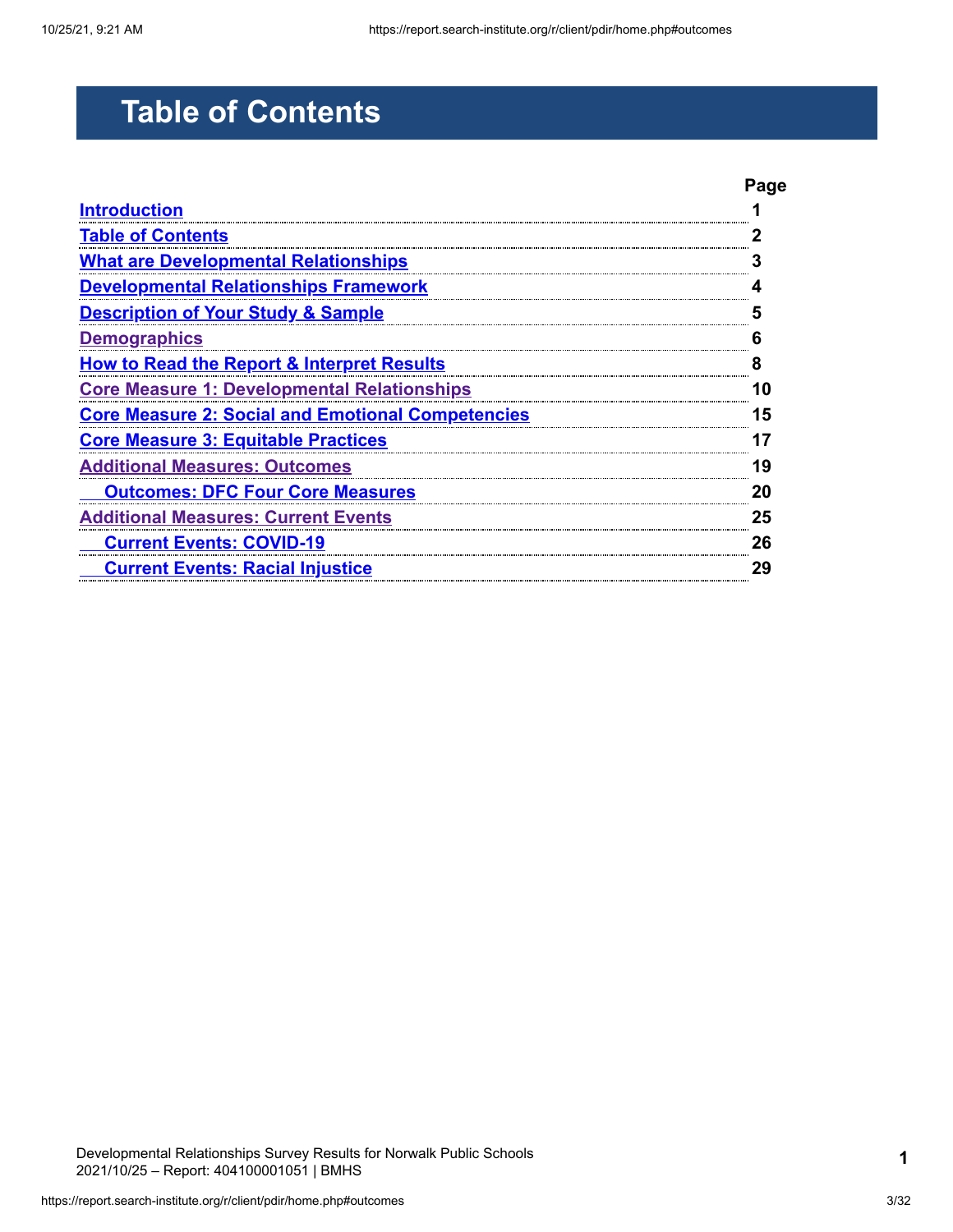# <span id="page-2-0"></span>**Table of Contents**

|                                                          | Page |
|----------------------------------------------------------|------|
| <b>Introduction</b>                                      |      |
| <b>Table of Contents</b>                                 |      |
| <b>What are Developmental Relationships</b>              |      |
| <b>Developmental Relationships Framework</b>             |      |
| <b>Description of Your Study &amp; Sample</b>            |      |
| <b>Demographics</b>                                      | ĥ    |
| <b>How to Read the Report &amp; Interpret Results</b>    |      |
| <b>Core Measure 1: Developmental Relationships</b>       | 10   |
| <b>Core Measure 2: Social and Emotional Competencies</b> | 15   |
| <b>Core Measure 3: Equitable Practices</b>               |      |
| <b>Additional Measures: Outcomes</b>                     | 19   |
| <b>Outcomes: DFC Four Core Measures</b>                  | 20   |
| <b>Additional Measures: Current Events</b>               | 25   |
| <b>Current Events: COVID-19</b>                          | 26   |
| <b>Current Events: Racial Injustice</b>                  | 29   |

Developmental Relationships Survey Results for Norwalk Public Schools 2021/10/25 – Report: 404100001051 | BMHS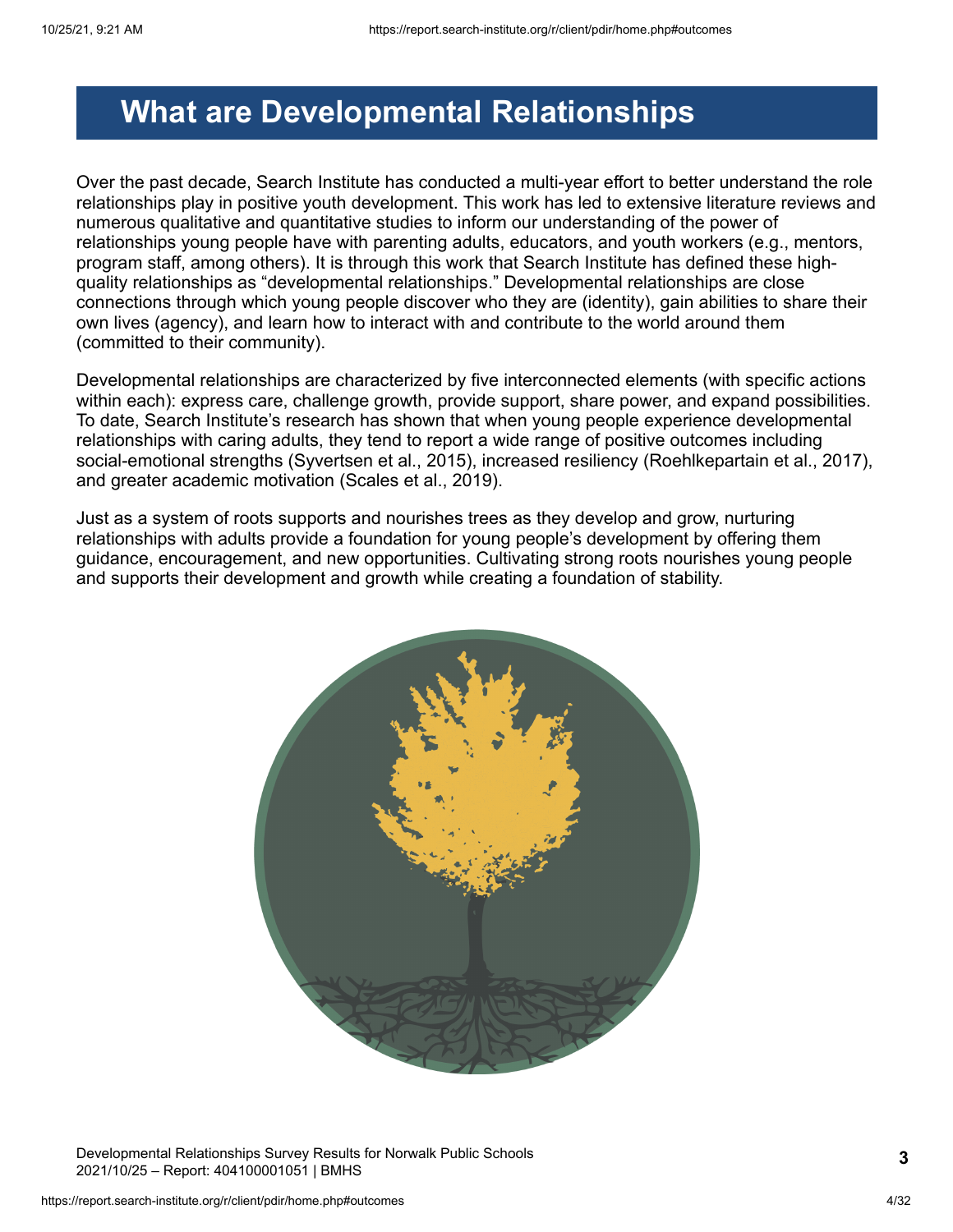## <span id="page-3-0"></span>**What are Developmental Relationships**

Over the past decade, Search Institute has conducted a multi-year effort to better understand the role relationships play in positive youth development. This work has led to extensive literature reviews and numerous qualitative and quantitative studies to inform our understanding of the power of relationships young people have with parenting adults, educators, and youth workers (e.g., mentors, program staff, among others). It is through this work that Search Institute has defined these highquality relationships as "developmental relationships." Developmental relationships are close connections through which young people discover who they are (identity), gain abilities to share their own lives (agency), and learn how to interact with and contribute to the world around them (committed to their community).

Developmental relationships are characterized by five interconnected elements (with specific actions within each): express care, challenge growth, provide support, share power, and expand possibilities. To date, Search Institute's research has shown that when young people experience developmental relationships with caring adults, they tend to report a wide range of positive outcomes including social-emotional strengths (Syvertsen et al., 2015), increased resiliency (Roehlkepartain et al., 2017), and greater academic motivation (Scales et al., 2019).

Just as a system of roots supports and nourishes trees as they develop and grow, nurturing relationships with adults provide a foundation for young people's development by offering them guidance, encouragement, and new opportunities. Cultivating strong roots nourishes young people and supports their development and growth while creating a foundation of stability.



Developmental Relationships Survey Results for Norwalk Public Schools 2021/10/25 – Report: 404100001051 | BMHS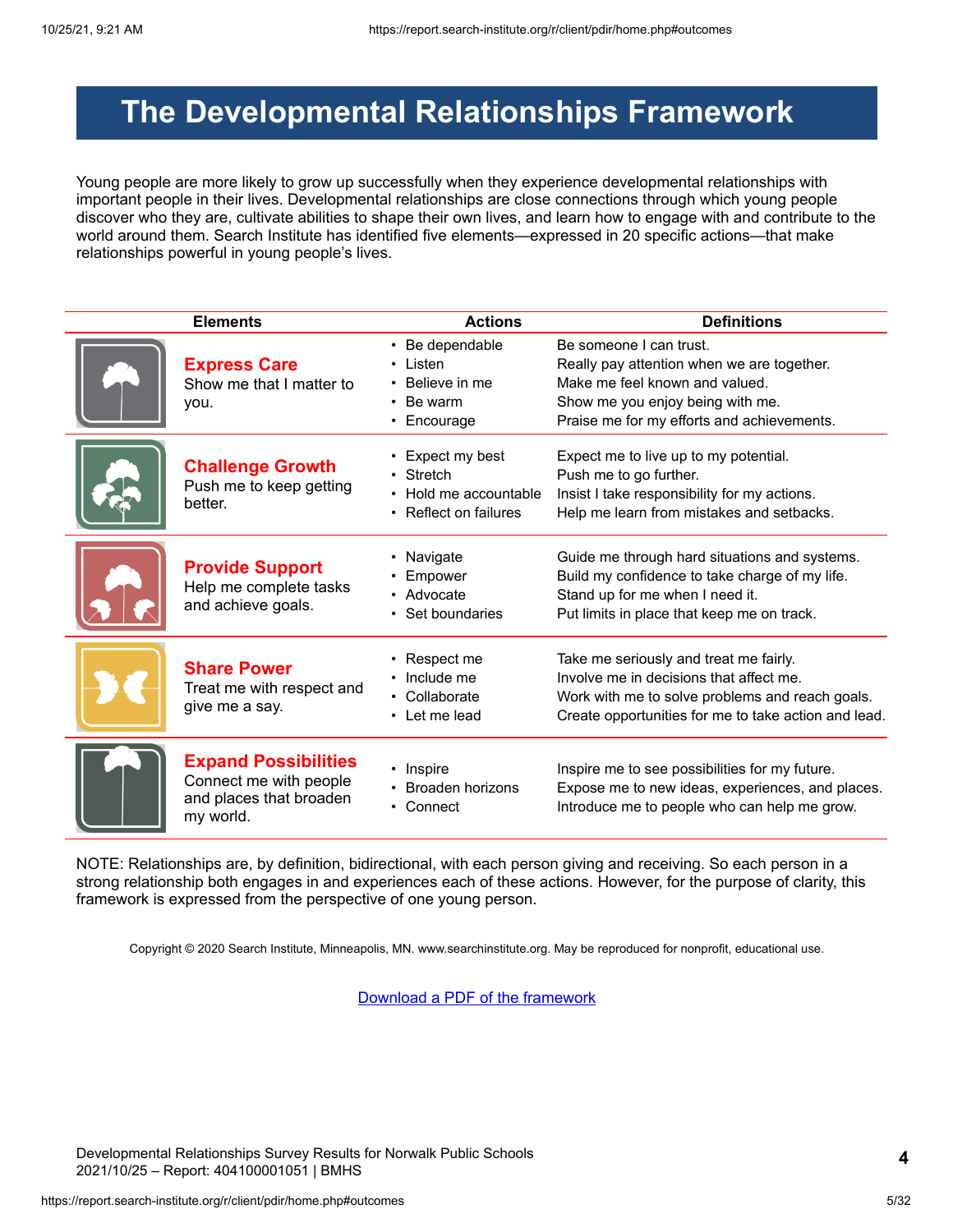# <span id="page-4-0"></span>**The Developmental Relationships Framework**

Young people are more likely to grow up successfully when they experience developmental relationships with important people in their lives. Developmental relationships are close connections through which young people discover who they are, cultivate abilities to shape their own lives, and learn how to engage with and contribute to the world around them. Search Institute has identified five elements—expressed in 20 specific actions—that make relationships powerful in young people's lives.

| <b>Elements</b>                                                                               | <b>Actions</b>                                                                  | <b>Definitions</b>                                                                                                                                                                           |
|-----------------------------------------------------------------------------------------------|---------------------------------------------------------------------------------|----------------------------------------------------------------------------------------------------------------------------------------------------------------------------------------------|
| <b>Express Care</b><br>Show me that I matter to<br>you.                                       | • Be dependable<br>Listen<br>Believe in me<br>Be warm<br>Encourage<br>$\bullet$ | Be someone I can trust.<br>Really pay attention when we are together.<br>Make me feel known and valued.<br>Show me you enjoy being with me.<br>Praise me for my efforts and achievements.    |
| <b>Challenge Growth</b><br>Push me to keep getting<br>better.                                 | Expect my best<br>Stretch<br>Hold me accountable<br>• Reflect on failures       | Expect me to live up to my potential.<br>Push me to go further.<br>Insist I take responsibility for my actions.<br>Help me learn from mistakes and setbacks.                                 |
| <b>Provide Support</b><br>Help me complete tasks<br>and achieve goals.                        | Navigate<br>Empower<br>• Advocate<br>Set boundaries                             | Guide me through hard situations and systems.<br>Build my confidence to take charge of my life.<br>Stand up for me when I need it.<br>Put limits in place that keep me on track.             |
| <b>Share Power</b><br>Treat me with respect and<br>give me a say.                             | Respect me<br>Include me<br>Collaborate<br>• Let me lead                        | Take me seriously and treat me fairly.<br>Involve me in decisions that affect me.<br>Work with me to solve problems and reach goals.<br>Create opportunities for me to take action and lead. |
| <b>Expand Possibilities</b><br>Connect me with people<br>and places that broaden<br>my world. | • Inspire<br>Broaden horizons<br>• Connect                                      | Inspire me to see possibilities for my future.<br>Expose me to new ideas, experiences, and places.<br>Introduce me to people who can help me grow.                                           |

NOTE: Relationships are, by definition, bidirectional, with each person giving and receiving. So each person in a strong relationship both engages in and experiences each of these actions. However, for the purpose of clarity, this framework is expressed from the perspective of one young person.

Copyright © 2020 Search Institute, Minneapolis, MN. www.searchinstitute.org. May be reproduced for nonprofit, educational use.

[Download a PDF of the framework](https://report.search-institute.org/r/images/drs/Developmental_Relationships_Framework_English_2019-03-25.pdf)

Developmental Relationships Survey Results for Norwalk Public Schools 2021/10/25 – Report: 404100001051 | BMHS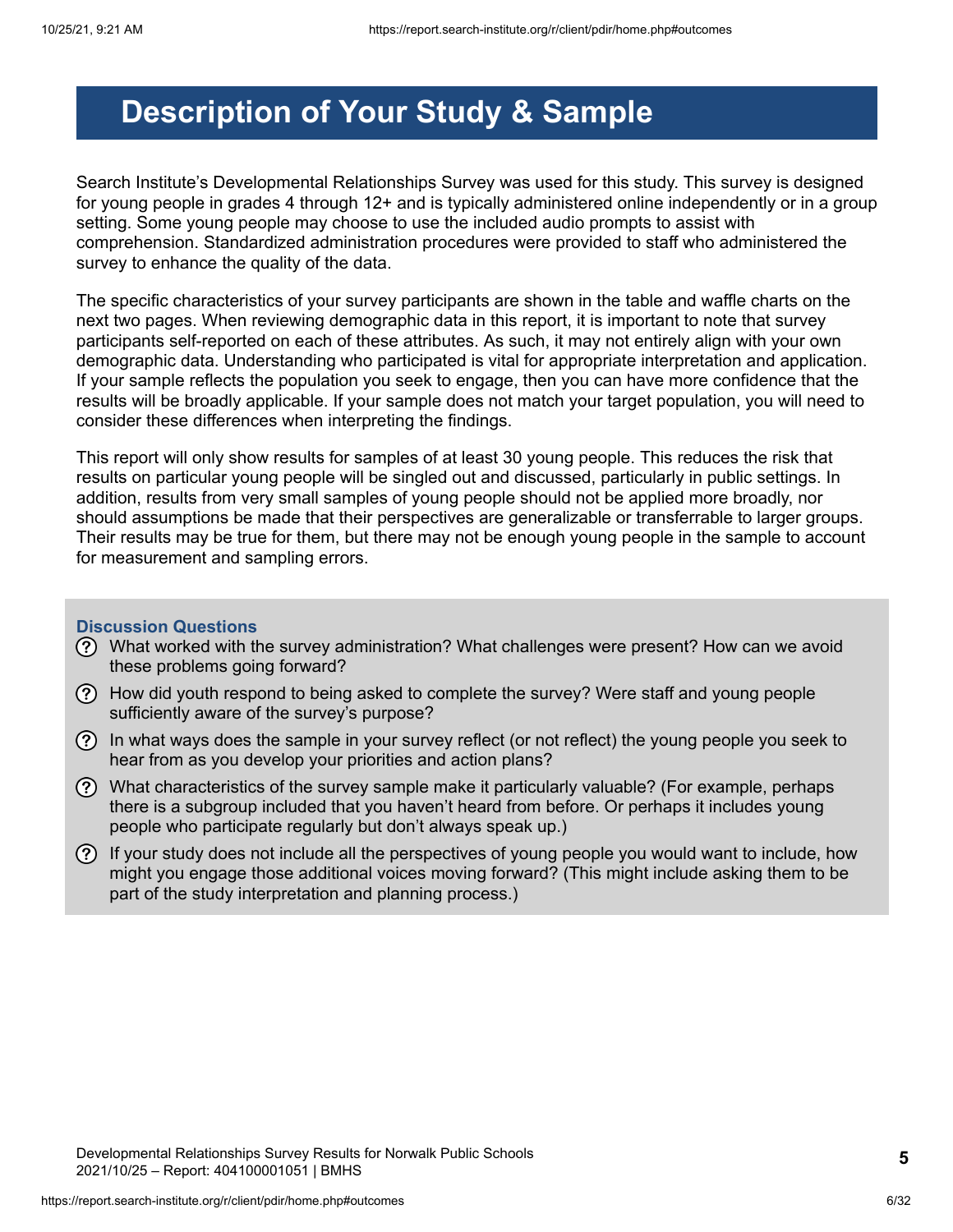# <span id="page-5-0"></span>**Description of Your Study & Sample**

Search Institute's Developmental Relationships Survey was used for this study. This survey is designed for young people in grades 4 through 12+ and is typically administered online independently or in a group setting. Some young people may choose to use the included audio prompts to assist with comprehension. Standardized administration procedures were provided to staff who administered the survey to enhance the quality of the data.

The specific characteristics of your survey participants are shown in the table and waffle charts on the next two pages. When reviewing demographic data in this report, it is important to note that survey participants self-reported on each of these attributes. As such, it may not entirely align with your own demographic data. Understanding who participated is vital for appropriate interpretation and application. If your sample reflects the population you seek to engage, then you can have more confidence that the results will be broadly applicable. If your sample does not match your target population, you will need to consider these differences when interpreting the findings.

This report will only show results for samples of at least 30 young people. This reduces the risk that results on particular young people will be singled out and discussed, particularly in public settings. In addition, results from very small samples of young people should not be applied more broadly, nor should assumptions be made that their perspectives are generalizable or transferrable to larger groups. Their results may be true for them, but there may not be enough young people in the sample to account for measurement and sampling errors.

#### **Discussion Questions**

- What worked with the survey administration? What challenges were present? How can we avoid these problems going forward?
- How did youth respond to being asked to complete the survey? Were staff and young people sufficiently aware of the survey's purpose?
- $\Omega$  In what ways does the sample in your survey reflect (or not reflect) the young people you seek to hear from as you develop your priorities and action plans?
- $\Omega$  What characteristics of the survey sample make it particularly valuable? (For example, perhaps there is a subgroup included that you haven't heard from before. Or perhaps it includes young people who participate regularly but don't always speak up.)
- $(?)$  If your study does not include all the perspectives of young people you would want to include, how might you engage those additional voices moving forward? (This might include asking them to be part of the study interpretation and planning process.)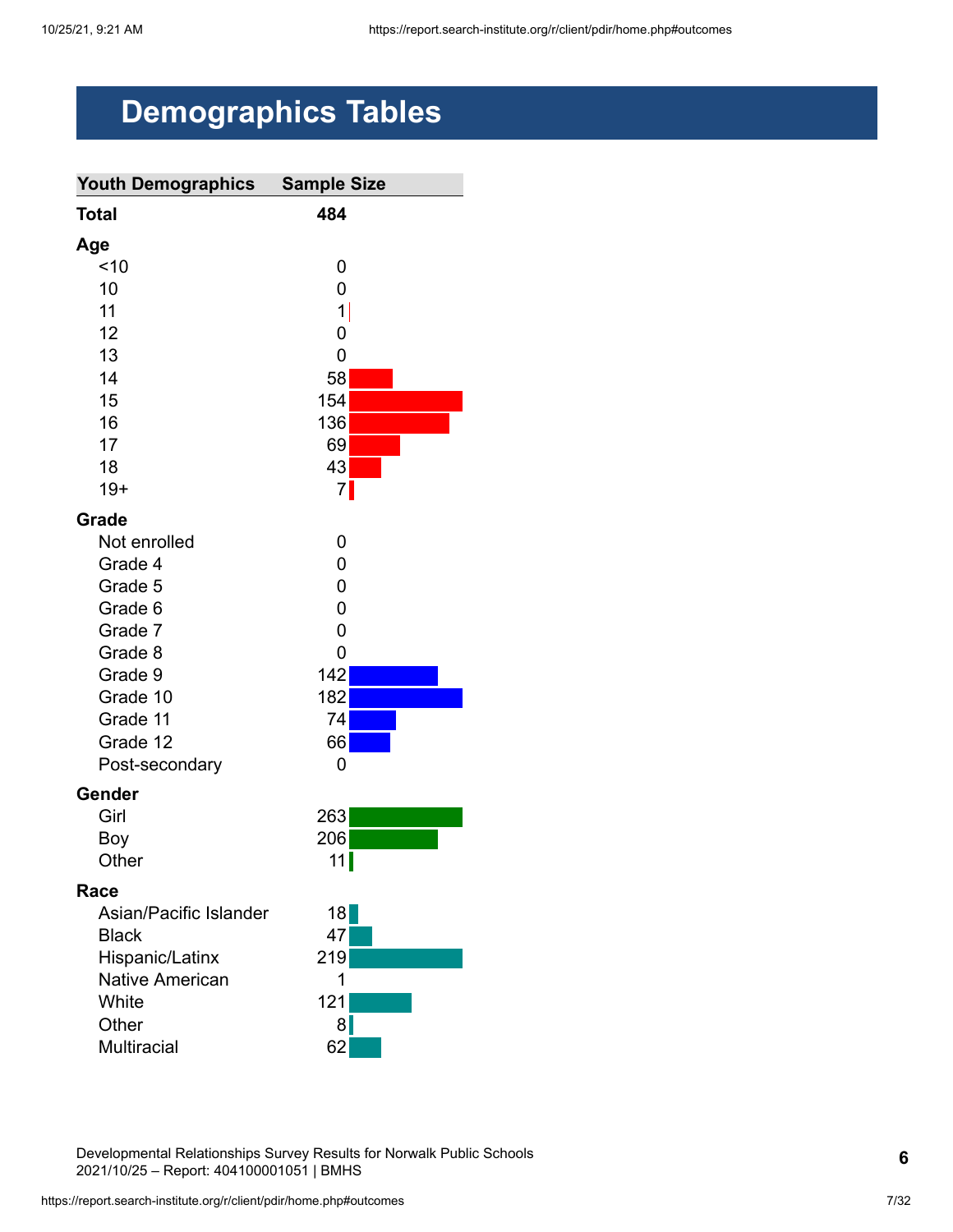# <span id="page-6-0"></span>**Demographics Tables**

| <b>Youth Demographics</b> | <b>Sample Size</b> |
|---------------------------|--------------------|
| <b>Total</b>              | 484                |
| Age                       |                    |
| ~10                       | 0                  |
| 10                        | 0                  |
| 11                        | $\mathbf 1$        |
| 12                        | 0                  |
| 13                        | 0                  |
| 14                        | 58                 |
| 15                        | 154                |
| 16                        | 136                |
| 17                        | 69                 |
| 18                        | 43                 |
| $19+$                     | 7                  |
| Grade                     |                    |
| Not enrolled              | 0                  |
| Grade 4                   | 0                  |
| Grade 5                   | 0                  |
| Grade 6                   | 0                  |
| Grade 7                   | 0                  |
| Grade 8                   | 0                  |
| Grade 9                   | 142                |
| Grade 10                  | 182                |
| Grade 11                  | 74                 |
| Grade 12                  | 66                 |
| Post-secondary            | 0                  |
| Gender                    |                    |
| Girl                      | 263                |
| Boy                       | 206                |
| Other                     | 11                 |
| Race                      |                    |
| Asian/Pacific Islander    | 18                 |
| <b>Black</b>              | 47                 |
| Hispanic/Latinx           | 219                |
| Native American           | 1                  |
| White                     | 121                |
| Other                     | 8                  |
| Multiracial               | 62                 |

Developmental Relationships Survey Results for Norwalk Public Schools 2021/10/25 – Report: 404100001051 | BMHS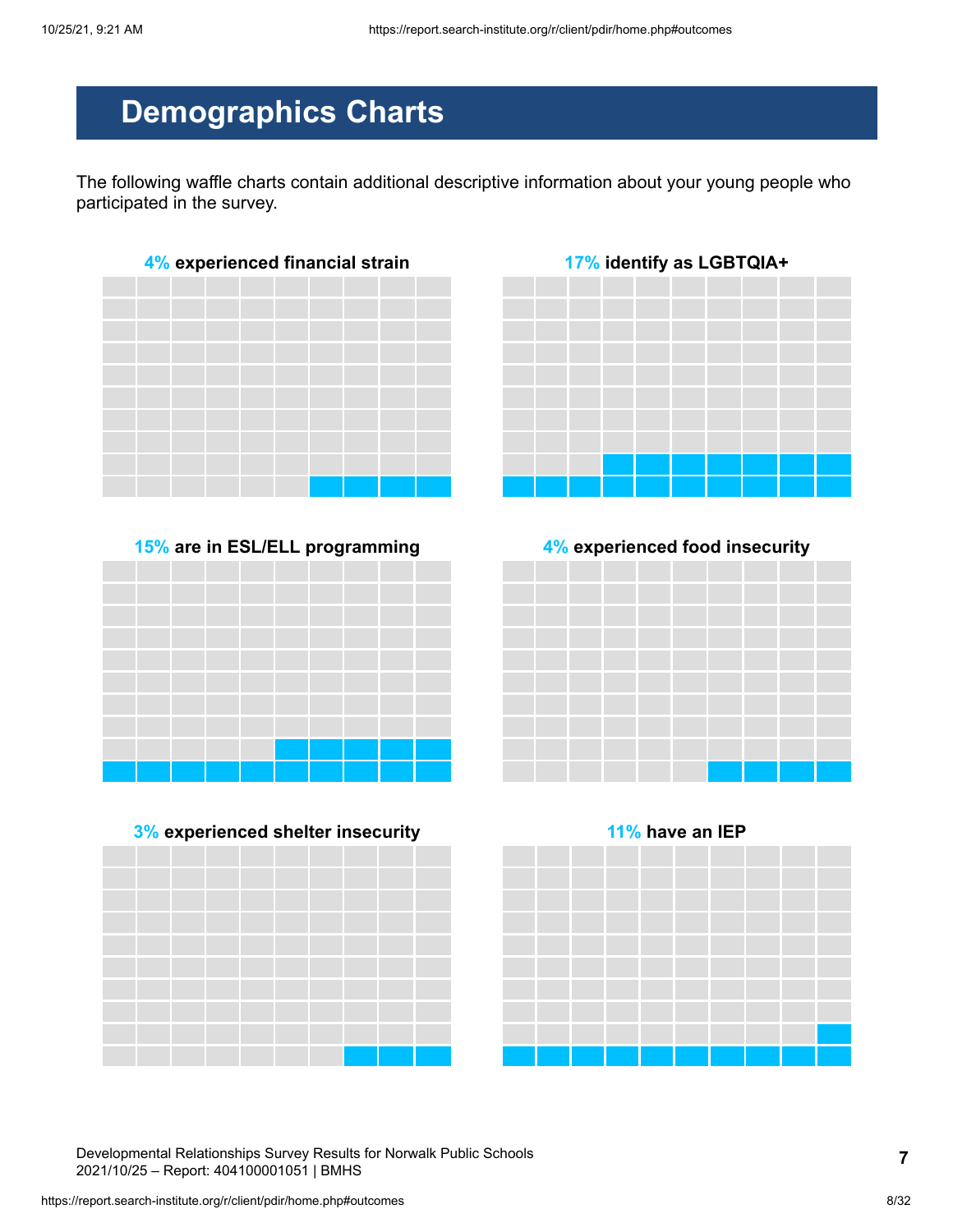# **Demographics Charts**

The following waffle charts contain additional descriptive information about your young people who participated in the survey.



**15% are in ESL/ELL programming 4% experienced food insecurity**









Developmental Relationships Survey Results for Norwalk Public Schools 2021/10/25 – Report: 404100001051 | BMHS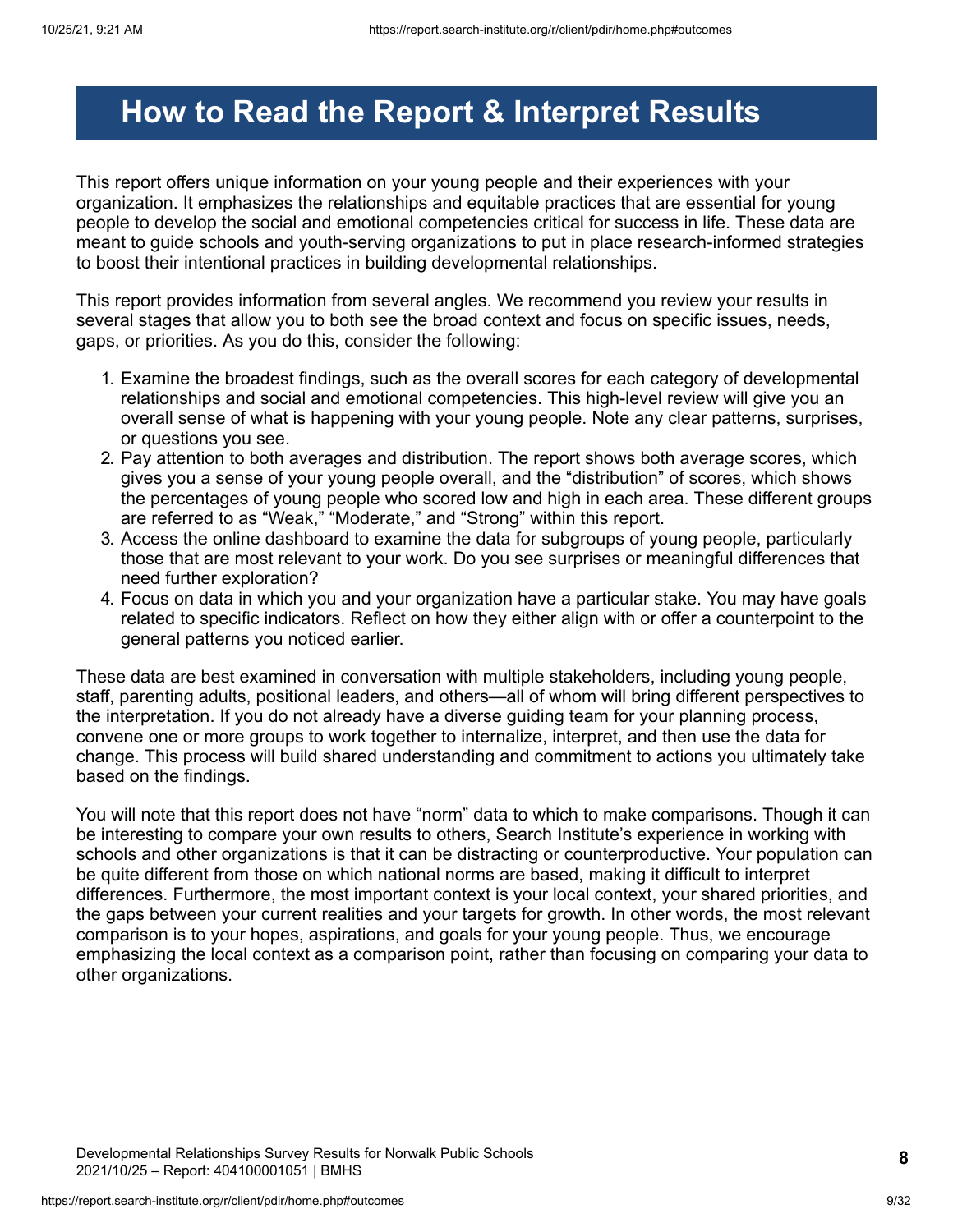# <span id="page-8-0"></span>**How to Read the Report & Interpret Results**

This report offers unique information on your young people and their experiences with your organization. It emphasizes the relationships and equitable practices that are essential for young people to develop the social and emotional competencies critical for success in life. These data are meant to guide schools and youth-serving organizations to put in place research-informed strategies to boost their intentional practices in building developmental relationships.

This report provides information from several angles. We recommend you review your results in several stages that allow you to both see the broad context and focus on specific issues, needs, gaps, or priorities. As you do this, consider the following:

- 1. Examine the broadest findings, such as the overall scores for each category of developmental relationships and social and emotional competencies. This high-level review will give you an overall sense of what is happening with your young people. Note any clear patterns, surprises, or questions you see.
- 2. Pay attention to both averages and distribution. The report shows both average scores, which gives you a sense of your young people overall, and the "distribution" of scores, which shows the percentages of young people who scored low and high in each area. These different groups are referred to as "Weak," "Moderate," and "Strong" within this report.
- 3. Access the online dashboard to examine the data for subgroups of young people, particularly those that are most relevant to your work. Do you see surprises or meaningful differences that need further exploration?
- 4. Focus on data in which you and your organization have a particular stake. You may have goals related to specific indicators. Reflect on how they either align with or offer a counterpoint to the general patterns you noticed earlier.

These data are best examined in conversation with multiple stakeholders, including young people, staff, parenting adults, positional leaders, and others—all of whom will bring different perspectives to the interpretation. If you do not already have a diverse guiding team for your planning process, convene one or more groups to work together to internalize, interpret, and then use the data for change. This process will build shared understanding and commitment to actions you ultimately take based on the findings.

You will note that this report does not have "norm" data to which to make comparisons. Though it can be interesting to compare your own results to others, Search Institute's experience in working with schools and other organizations is that it can be distracting or counterproductive. Your population can be quite different from those on which national norms are based, making it difficult to interpret differences. Furthermore, the most important context is your local context, your shared priorities, and the gaps between your current realities and your targets for growth. In other words, the most relevant comparison is to your hopes, aspirations, and goals for your young people. Thus, we encourage emphasizing the local context as a comparison point, rather than focusing on comparing your data to other organizations.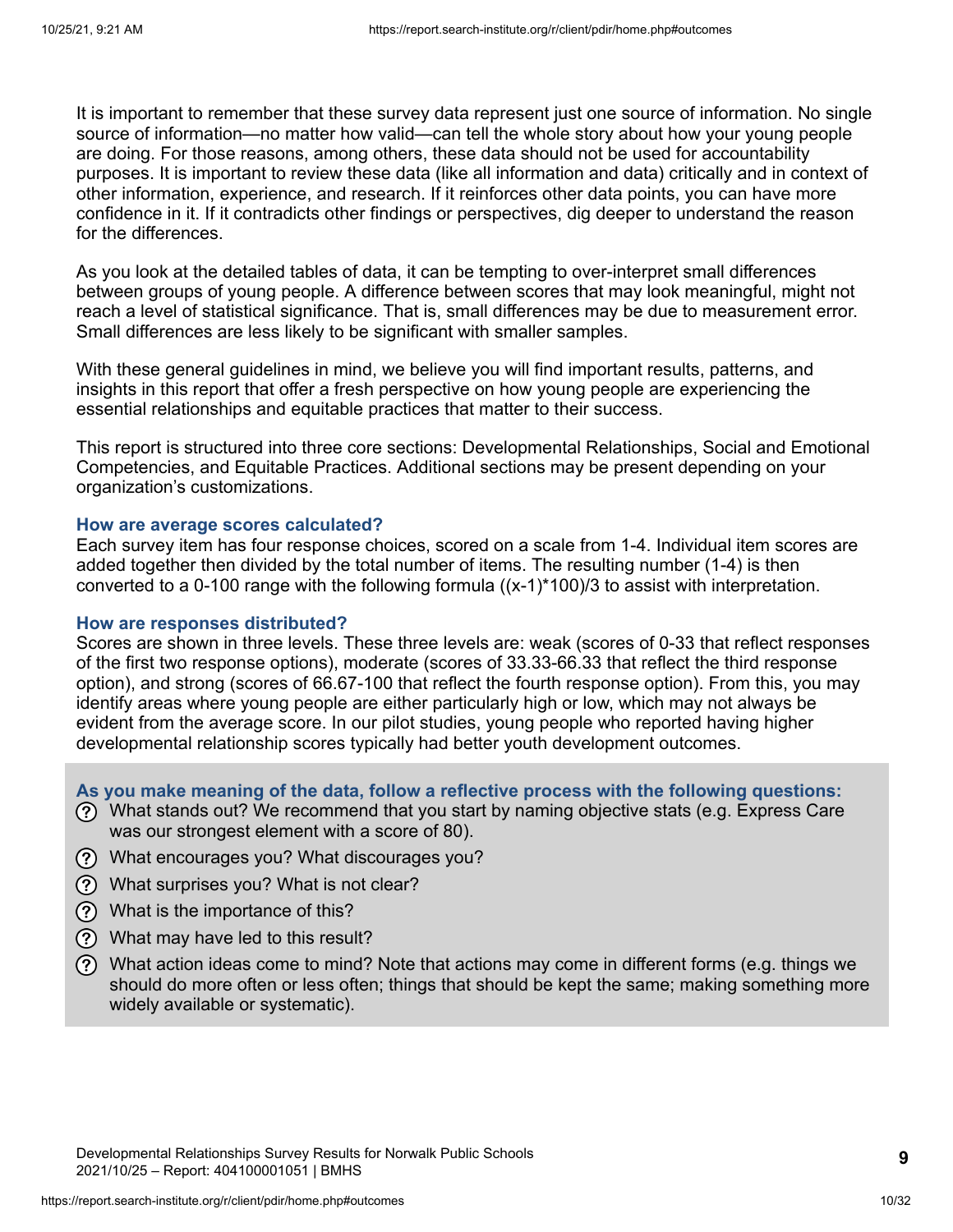It is important to remember that these survey data represent just one source of information. No single source of information—no matter how valid—can tell the whole story about how your young people are doing. For those reasons, among others, these data should not be used for accountability purposes. It is important to review these data (like all information and data) critically and in context of other information, experience, and research. If it reinforces other data points, you can have more confidence in it. If it contradicts other findings or perspectives, dig deeper to understand the reason for the differences.

As you look at the detailed tables of data, it can be tempting to over-interpret small differences between groups of young people. A difference between scores that may look meaningful, might not reach a level of statistical significance. That is, small differences may be due to measurement error. Small differences are less likely to be significant with smaller samples.

With these general guidelines in mind, we believe you will find important results, patterns, and insights in this report that offer a fresh perspective on how young people are experiencing the essential relationships and equitable practices that matter to their success.

This report is structured into three core sections: Developmental Relationships, Social and Emotional Competencies, and Equitable Practices. Additional sections may be present depending on your organization's customizations.

#### **How are average scores calculated?**

Each survey item has four response choices, scored on a scale from 1-4. Individual item scores are added together then divided by the total number of items. The resulting number (1-4) is then converted to a 0-100 range with the following formula  $((x-1)^*100)/3$  to assist with interpretation.

#### **How are responses distributed?**

Scores are shown in three levels. These three levels are: weak (scores of 0-33 that reflect responses of the first two response options), moderate (scores of 33.33-66.33 that reflect the third response option), and strong (scores of 66.67-100 that reflect the fourth response option). From this, you may identify areas where young people are either particularly high or low, which may not always be evident from the average score. In our pilot studies, young people who reported having higher developmental relationship scores typically had better youth development outcomes.

**As you make meaning of the data, follow a reflective process with the following questions:**

- What stands out? We recommend that you start by naming objective stats (e.g. Express Care was our strongest element with a score of 80).
- What encourages you? What discourages you?
- What surprises you? What is not clear?
- What is the importance of this?
- What may have led to this result?
- What action ideas come to mind? Note that actions may come in different forms (e.g. things we should do more often or less often; things that should be kept the same; making something more widely available or systematic).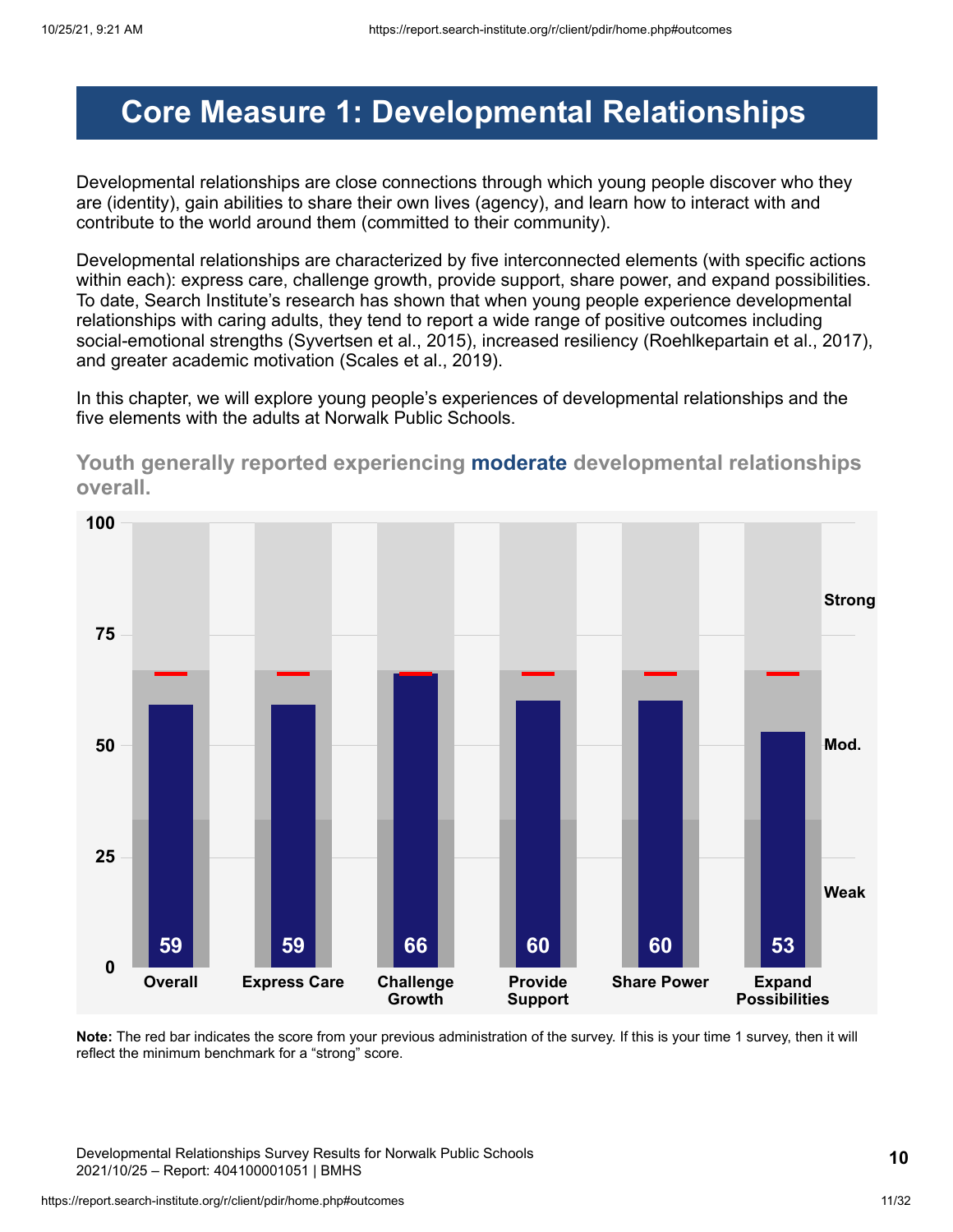# <span id="page-10-0"></span>**Core Measure 1: Developmental Relationships**

Developmental relationships are close connections through which young people discover who they are (identity), gain abilities to share their own lives (agency), and learn how to interact with and contribute to the world around them (committed to their community).

Developmental relationships are characterized by five interconnected elements (with specific actions within each): express care, challenge growth, provide support, share power, and expand possibilities. To date, Search Institute's research has shown that when young people experience developmental relationships with caring adults, they tend to report a wide range of positive outcomes including social-emotional strengths (Syvertsen et al., 2015), increased resiliency (Roehlkepartain et al., 2017), and greater academic motivation (Scales et al., 2019).

In this chapter, we will explore young people's experiences of developmental relationships and the five elements with the adults at Norwalk Public Schools.



**Youth generally reported experiencing moderate developmental relationships overall.**

**Note:** The red bar indicates the score from your previous administration of the survey. If this is your time 1 survey, then it will reflect the minimum benchmark for a "strong" score.

Developmental Relationships Survey Results for Norwalk Public Schools 2021/10/25 – Report: 404100001051 | BMHS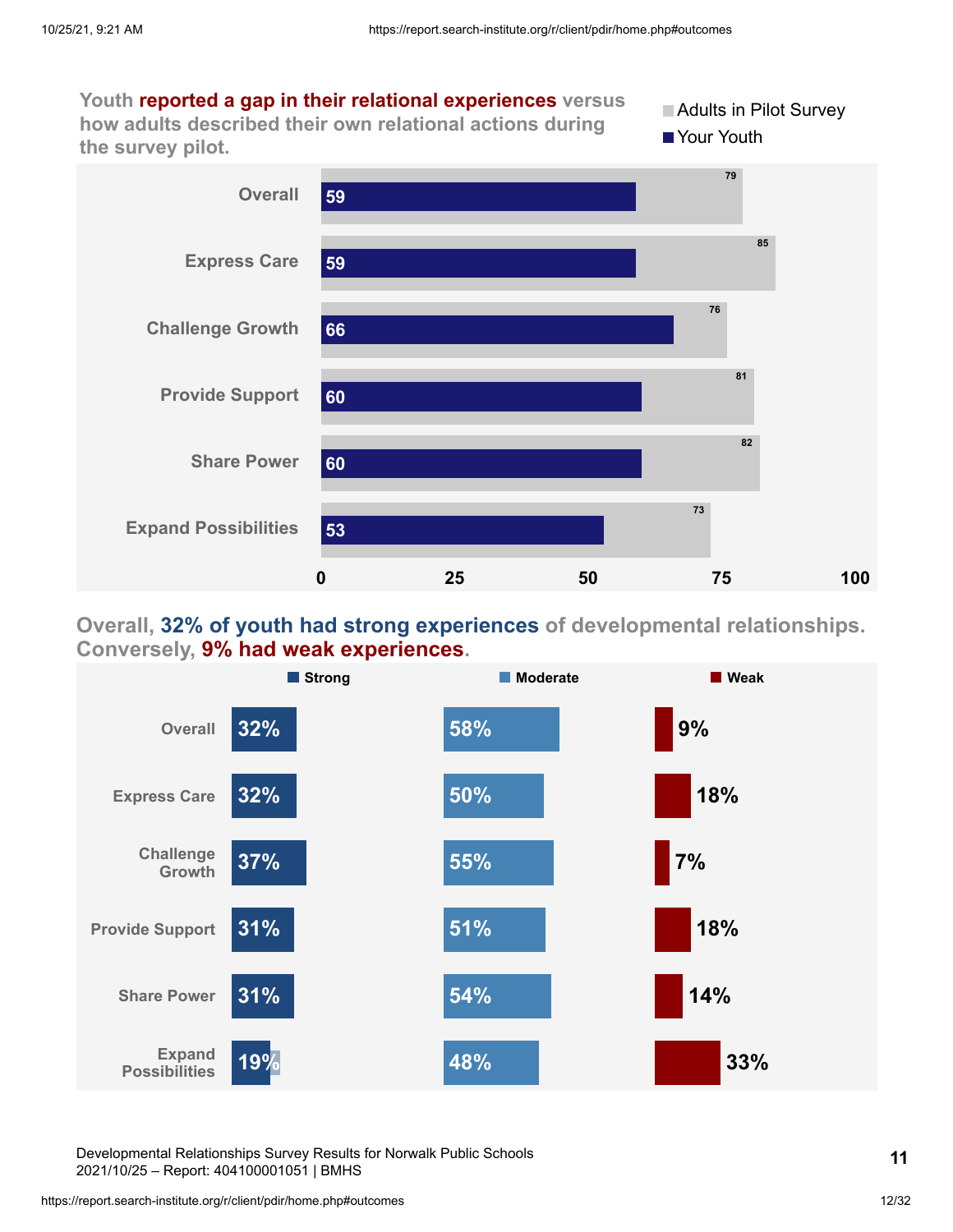

### **Overall, 32% of youth had strong experiences of developmental relationships. Conversely, 9% had weak experiences.**



Developmental Relationships Survey Results for Norwalk Public Schools 2021/10/25 – Report: 404100001051 | BMHS

https://report.search-institute.org/r/client/pdir/home.php#outcomes 12/32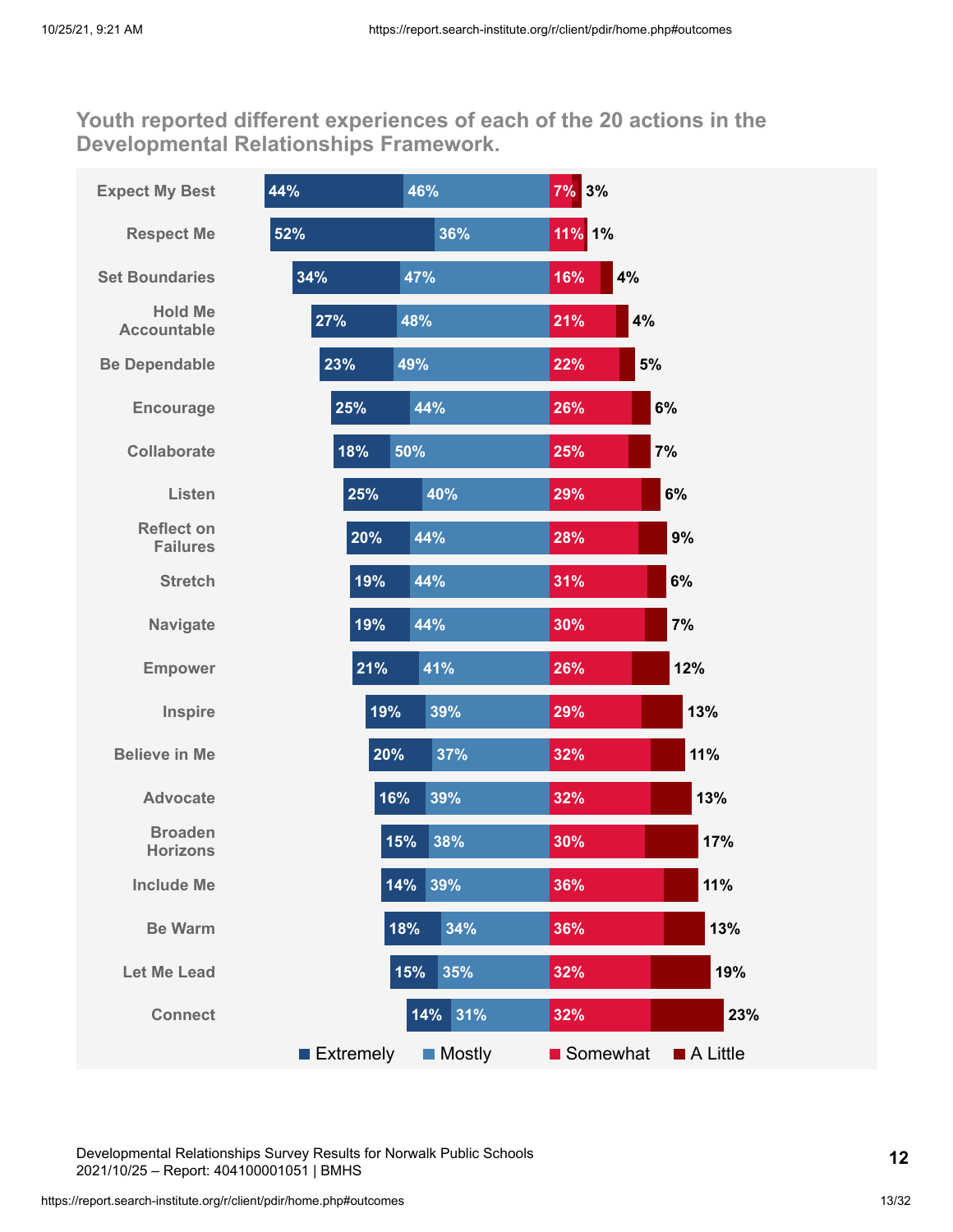**Youth reported different experiences of each of the 20 actions in the Developmental Relationships Framework.**

| <b>Expect My Best</b>                | 44%              | 46%           | 7% 3%     |          |
|--------------------------------------|------------------|---------------|-----------|----------|
| <b>Respect Me</b>                    | 52%              | 36%           | 11% 1%    |          |
| <b>Set Boundaries</b>                | 34%              | 47%           | 4%<br>16% |          |
| <b>Hold Me</b><br><b>Accountable</b> | 27%              | 48%           | 4%<br>21% |          |
| <b>Be Dependable</b>                 | 23%              | 49%           | 5%<br>22% |          |
| <b>Encourage</b>                     | 25%              | 44%           | 26%       | 6%       |
| <b>Collaborate</b>                   | 18%              | 50%           | 25%       | 7%       |
| Listen                               | 25%              | 40%           | 29%       | 6%       |
| <b>Reflect on</b><br><b>Failures</b> | 20%              | 44%           | 28%       | 9%       |
| <b>Stretch</b>                       | 19%              | 44%           | 31%       | 6%       |
| <b>Navigate</b>                      | 19%              | 44%           | 30%       | 7%       |
| <b>Empower</b>                       | 21%              | 41%           | 26%       | 12%      |
| Inspire                              | 19%              | 39%           | 29%       | 13%      |
| <b>Believe in Me</b>                 | 20%              | 37%           | 32%       | 11%      |
| <b>Advocate</b>                      | 16%              | 39%           | 32%       | 13%      |
| <b>Broaden</b><br><b>Horizons</b>    |                  | 15%<br>38%    | 30%       | 17%      |
| <b>Include Me</b>                    |                  | 14% 39%       | 36%       | 11%      |
| <b>Be Warm</b>                       |                  | 34%<br>18%    | 36%       | 13%      |
| <b>Let Me Lead</b>                   |                  | 15%<br>35%    | 32%       | 19%      |
| <b>Connect</b>                       |                  | 14% 31%       | 32%       | 23%      |
|                                      | <b>Extremely</b> | <b>Mostly</b> | Somewhat  | A Little |

Developmental Relationships Survey Results for Norwalk Public Schools 2021/10/25 – Report: 404100001051 | BMHS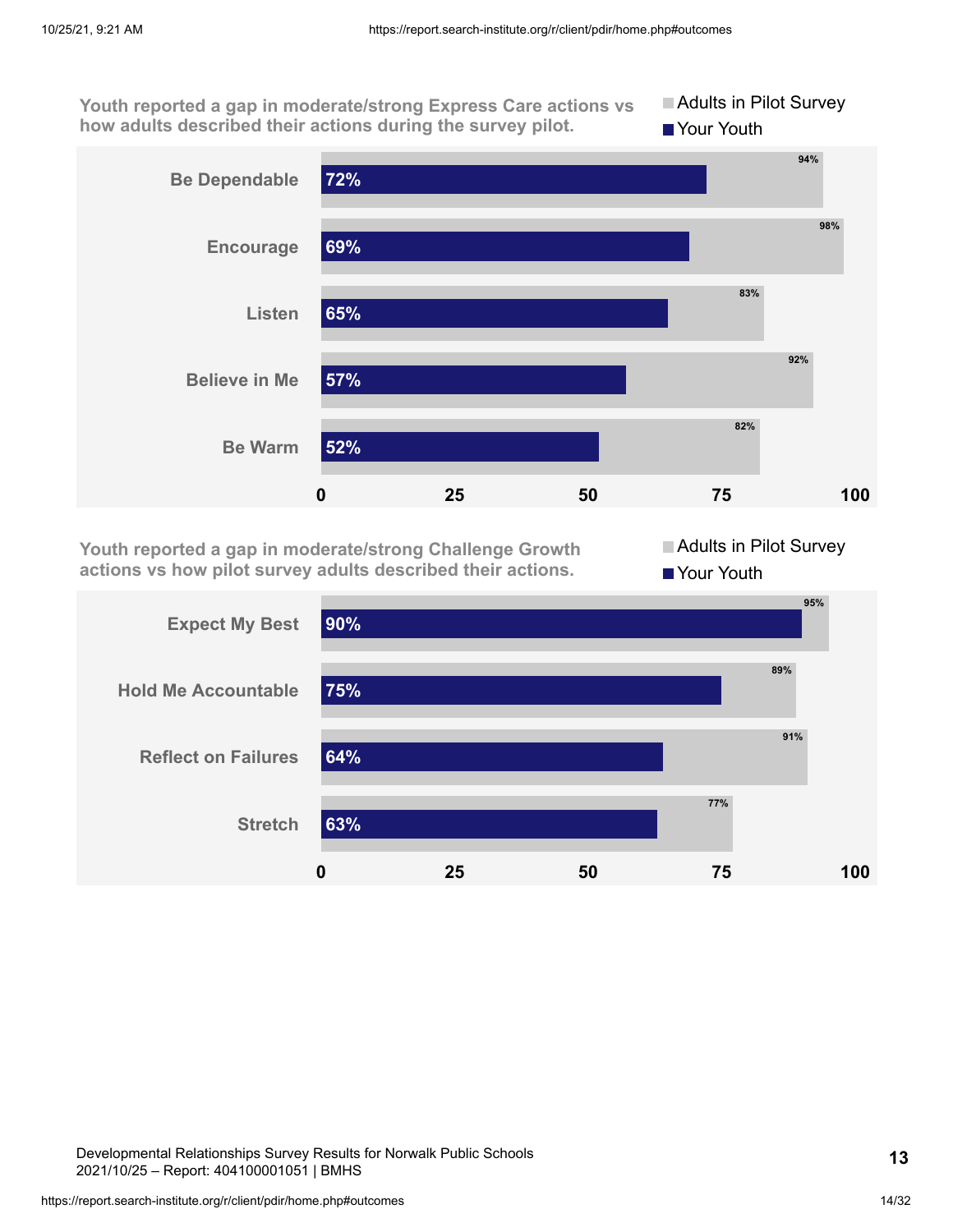**Youth reported a gap in moderate/strong Express Care actions vs how adults described their actions during the survey pilot. Adults in Pilot Survey** Your Youth



**Youth reported a gap in moderate/strong Challenge Growth actions vs how pilot survey adults described their actions.**

Adults in Pilot Survey Your Youth



Developmental Relationships Survey Results for Norwalk Public Schools 2021/10/25 – Report: 404100001051 | BMHS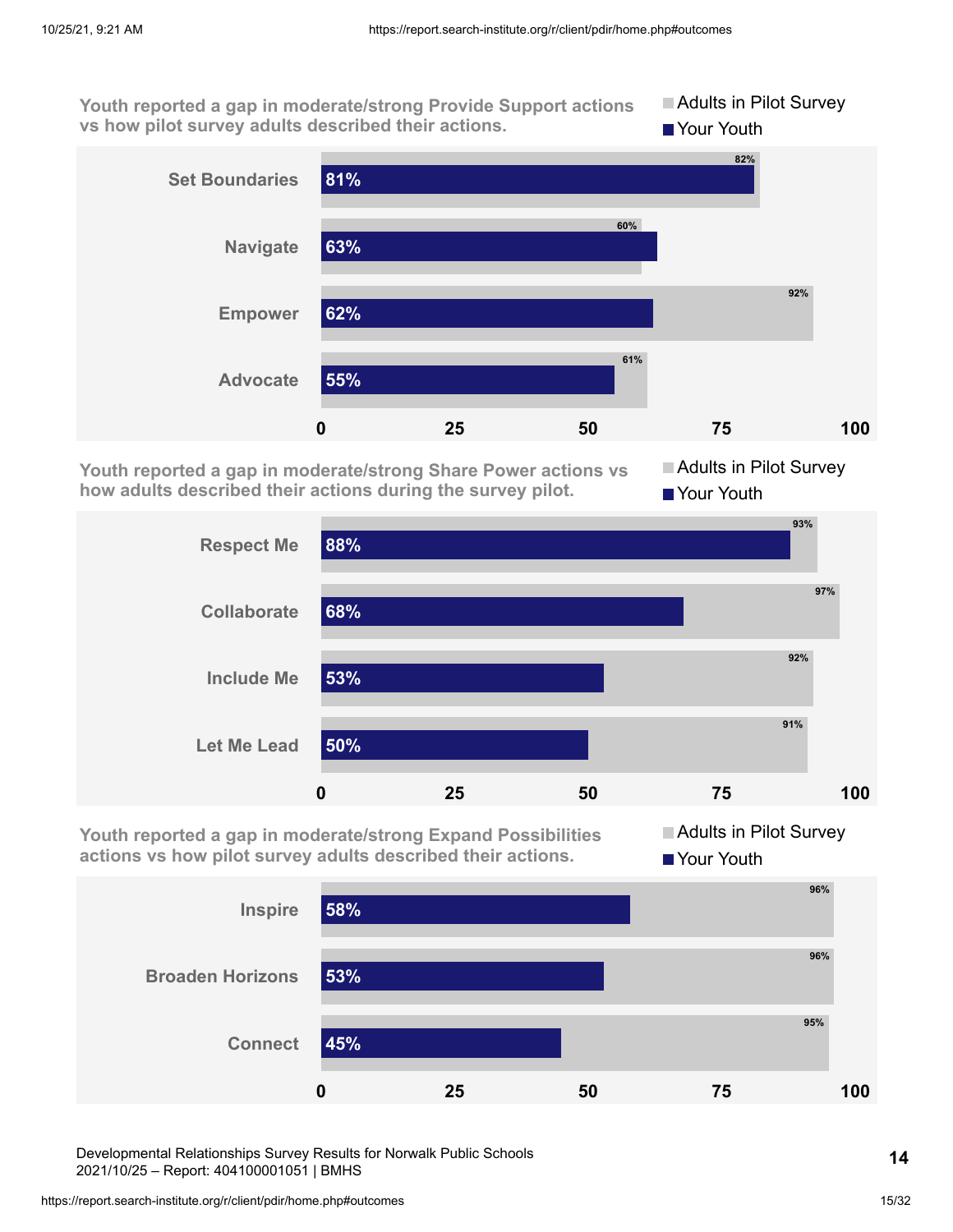**Youth reported a gap in moderate/strong Provide Support actions vs how pilot survey adults described their actions. Adults in Pilot Survey Your Youth** 



**Youth reported a gap in moderate/strong Share Power actions vs how adults described their actions during the survey pilot.**

**Adults in Pilot Survey** ■ Your Youth



**Youth reported a gap in moderate/strong Expand Possibilities actions vs how pilot survey adults described their actions.**

**Adults in Pilot Survey Your Youth** 



Developmental Relationships Survey Results for Norwalk Public Schools 2021/10/25 – Report: 404100001051 | BMHS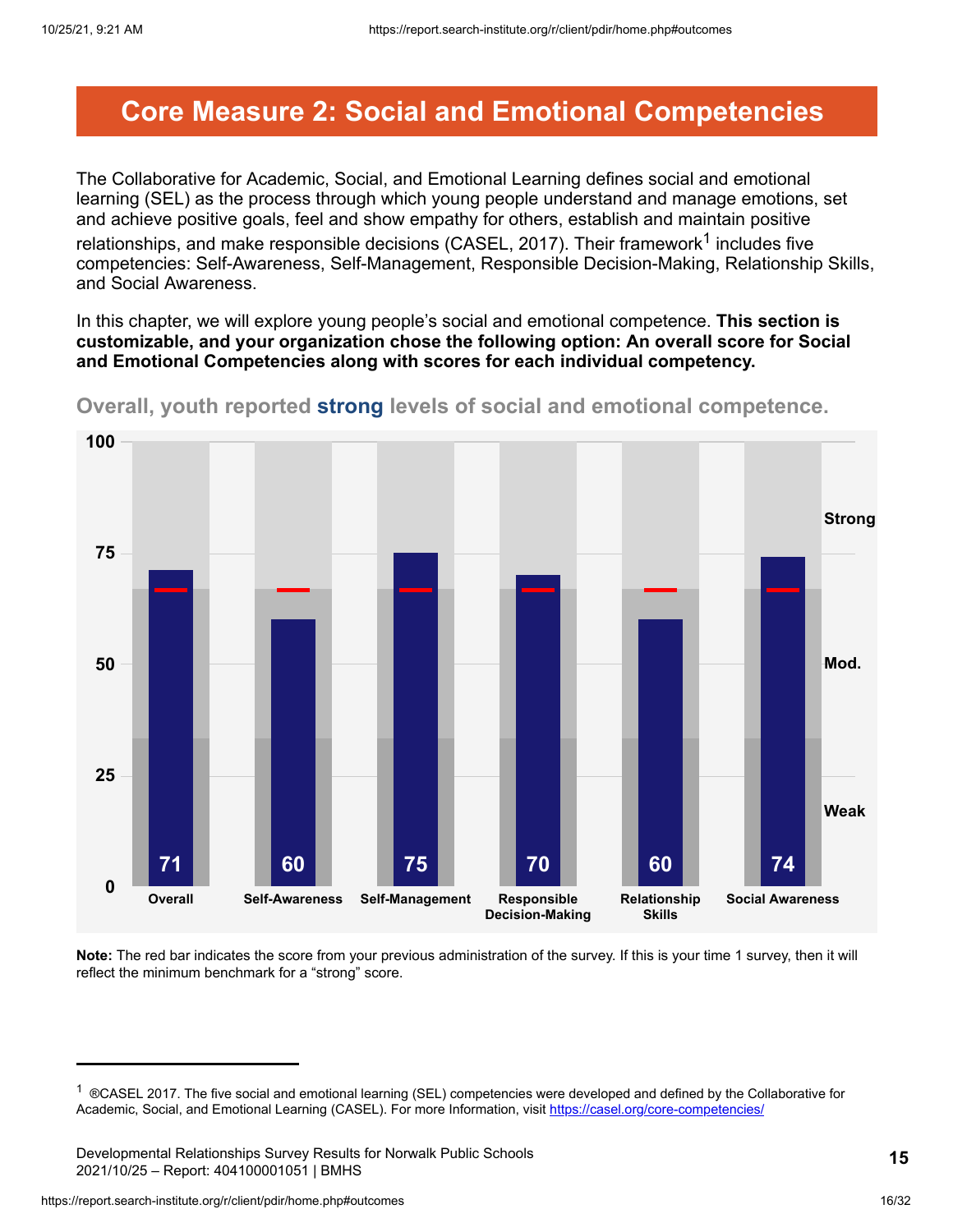### <span id="page-15-0"></span>**Core Measure 2: Social and Emotional Competencies**

The Collaborative for Academic, Social, and Emotional Learning defines social and emotional learning (SEL) as the process through which young people understand and manage emotions, set and achieve positive goals, feel and show empathy for others, establish and maintain positive relationships, and make responsible decisions (CASEL, 2017). Their framework $^{\text{1}}$  includes five competencies: Self-Awareness, Self-Management, Responsible Decision-Making, Relationship Skills, and Social Awareness.

In this chapter, we will explore young people's social and emotional competence. **This section is customizable, and your organization chose the following option: An overall score for Social and Emotional Competencies along with scores for each individual competency.**



**Overall, youth reported strong levels of social and emotional competence.**

**Note:** The red bar indicates the score from your previous administration of the survey. If this is your time 1 survey, then it will reflect the minimum benchmark for a "strong" score.

<sup>&</sup>lt;sup>1</sup> ®CASEL 2017. The five social and emotional learning (SEL) competencies were developed and defined by the Collaborative for Academic, Social, and Emotional Learning (CASEL). For more Information, visit <https://casel.org/core-competencies/>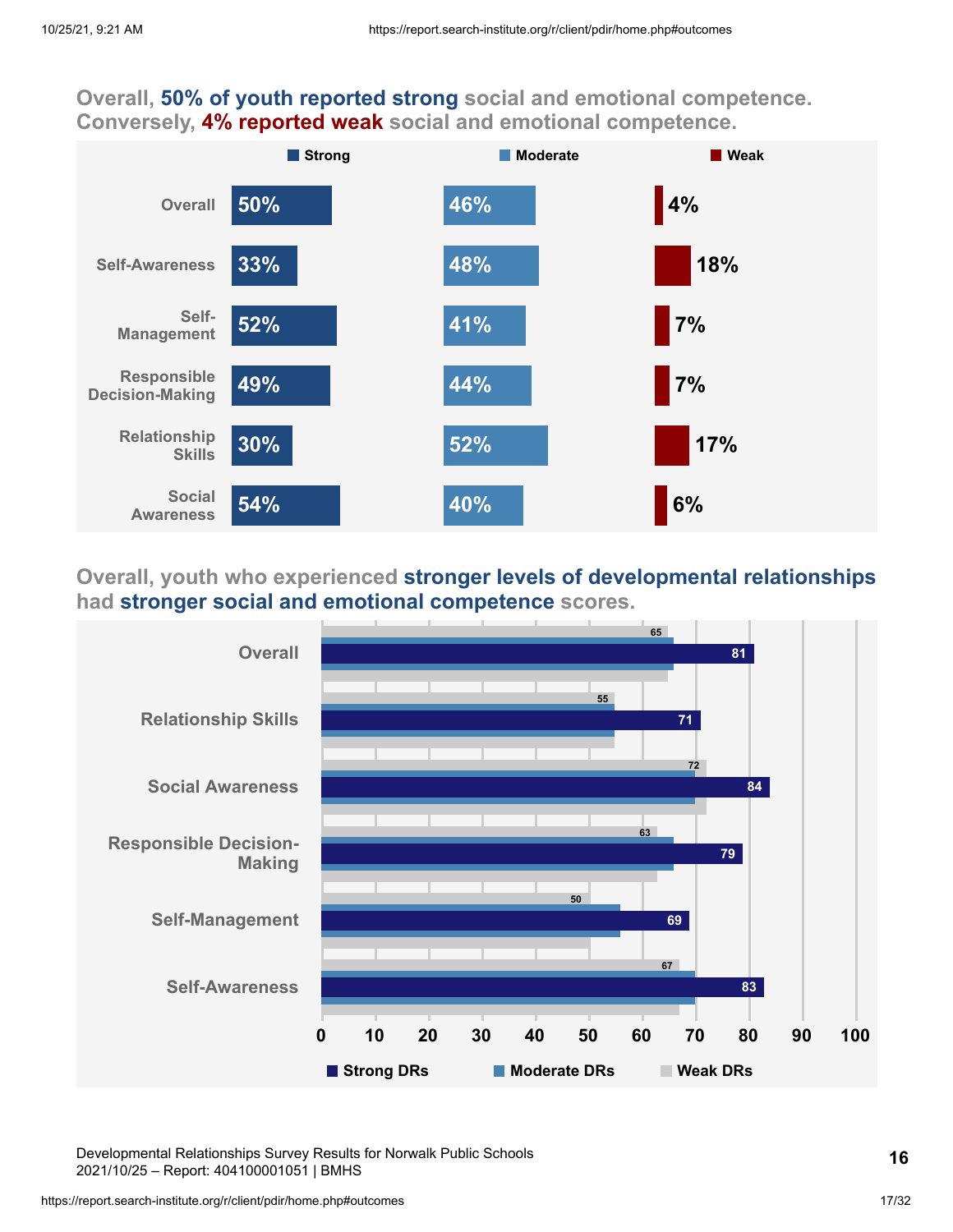### **Overall, 50% of youth reported strong social and emotional competence. Conversely, 4% reported weak social and emotional competence.**



### **Overall, youth who experienced stronger levels of developmental relationships had stronger social and emotional competence scores.**



Developmental Relationships Survey Results for Norwalk Public Schools 2021/10/25 – Report: 404100001051 | BMHS

https://report.search-institute.org/r/client/pdir/home.php#outcomes 17/32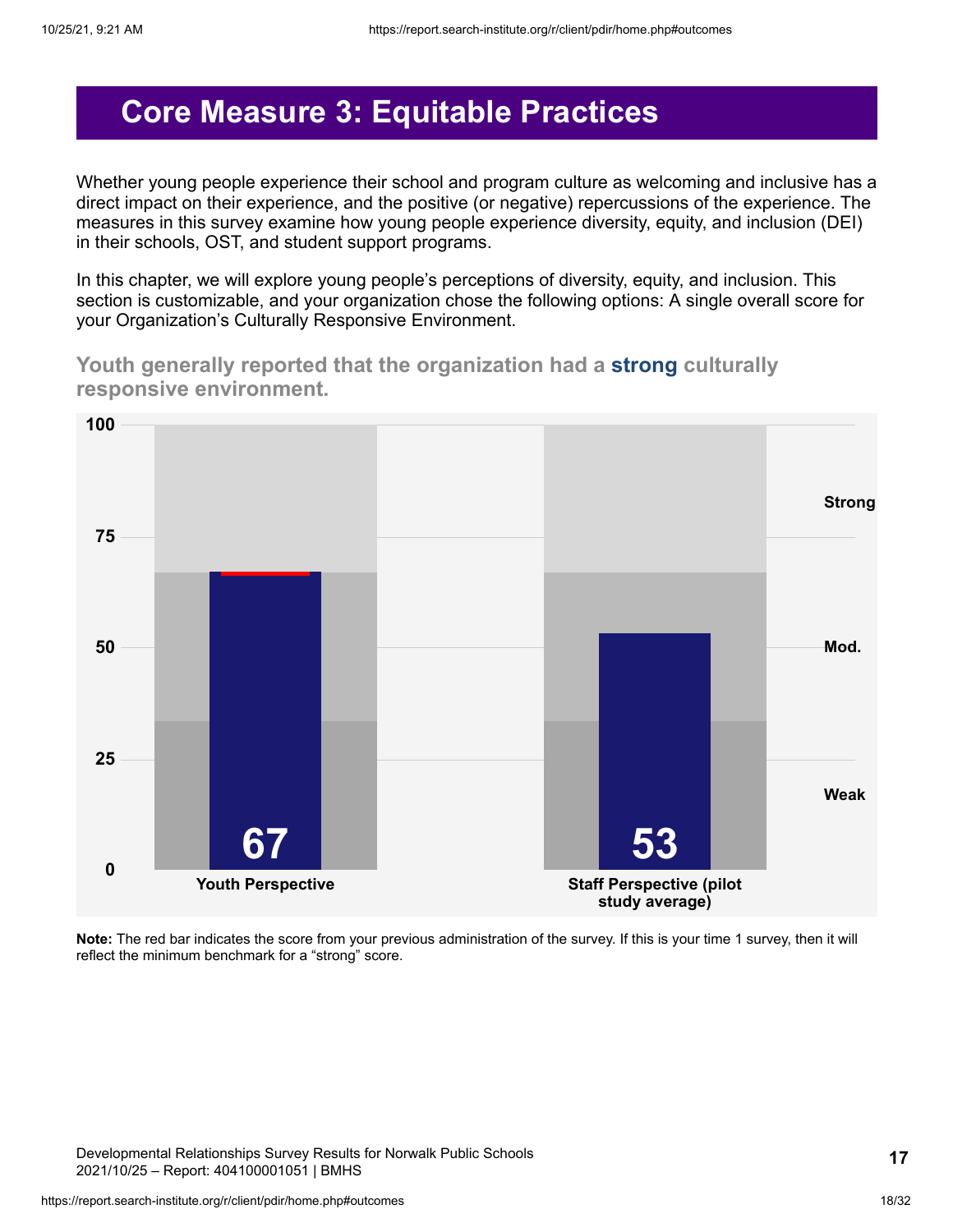## <span id="page-17-0"></span>**Core Measure 3: Equitable Practices**

Whether young people experience their school and program culture as welcoming and inclusive has a direct impact on their experience, and the positive (or negative) repercussions of the experience. The measures in this survey examine how young people experience diversity, equity, and inclusion (DEI) in their schools, OST, and student support programs.

In this chapter, we will explore young people's perceptions of diversity, equity, and inclusion. This section is customizable, and your organization chose the following options: A single overall score for your Organization's Culturally Responsive Environment.

**Youth generally reported that the organization had a strong culturally responsive environment.**



**Note:** The red bar indicates the score from your previous administration of the survey. If this is your time 1 survey, then it will reflect the minimum benchmark for a "strong" score.

Developmental Relationships Survey Results for Norwalk Public Schools 2021/10/25 – Report: 404100001051 | BMHS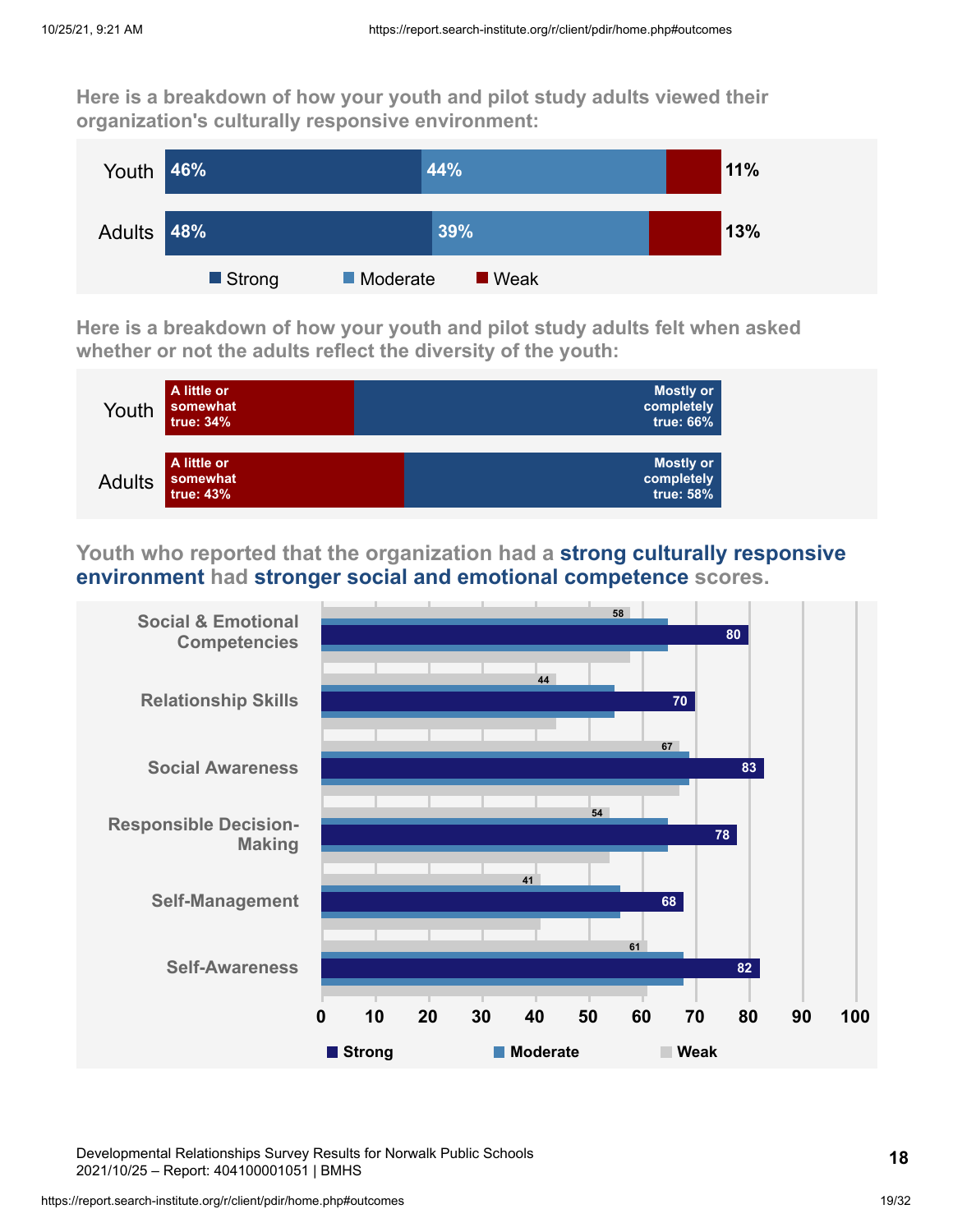**Here is a breakdown of how your youth and pilot study adults viewed their organization's culturally responsive environment:**



**Here is a breakdown of how your youth and pilot study adults felt when asked whether or not the adults reflect the diversity of the youth:**



**Youth who reported that the organization had a strong culturally responsive environment had stronger social and emotional competence scores.**



Developmental Relationships Survey Results for Norwalk Public Schools 2021/10/25 – Report: 404100001051 | BMHS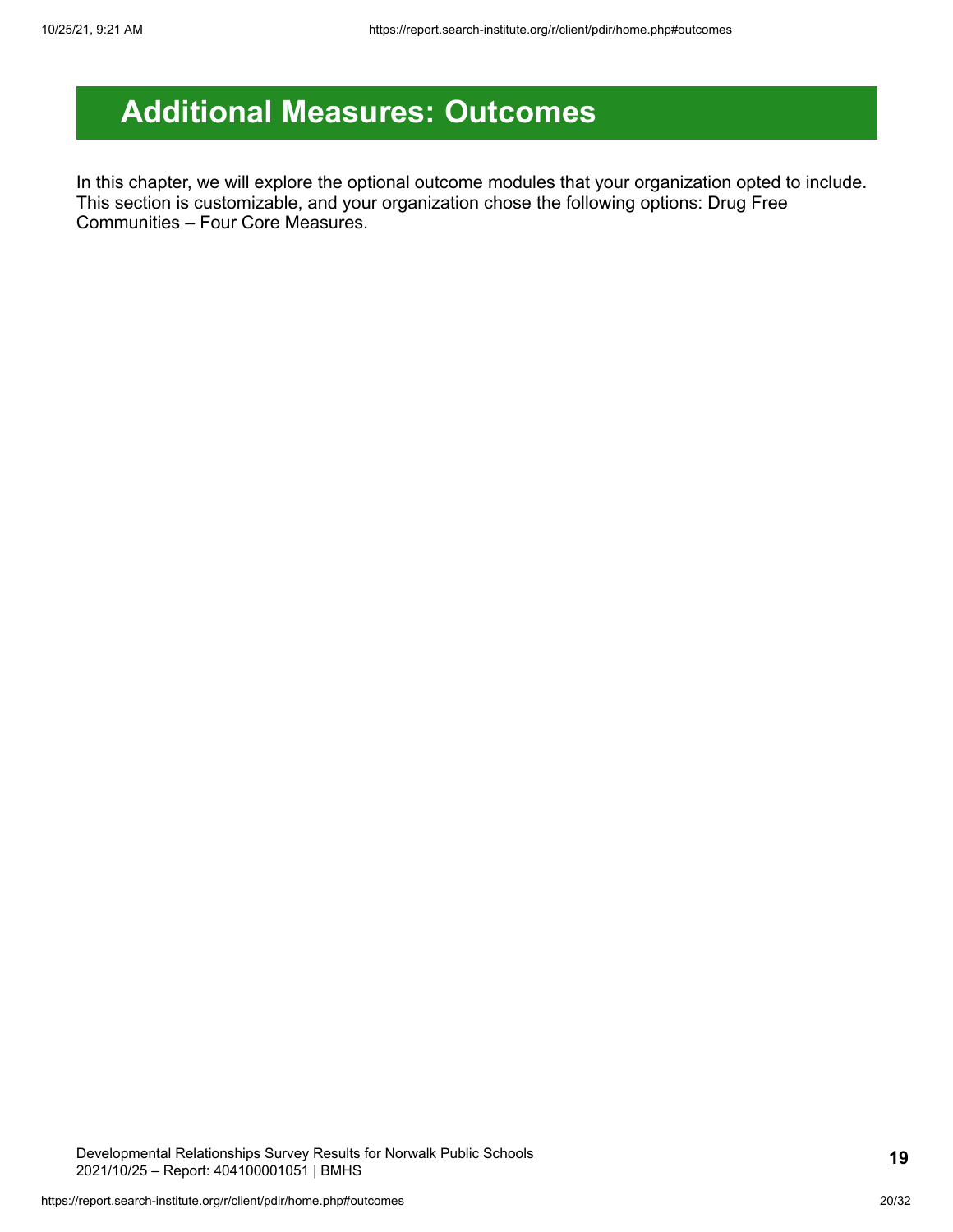# <span id="page-19-0"></span>**Additional Measures: Outcomes**

In this chapter, we will explore the optional outcome modules that your organization opted to include. This section is customizable, and your organization chose the following options: Drug Free Communities – Four Core Measures.

Developmental Relationships Survey Results for Norwalk Public Schools 2021/10/25 – Report: 404100001051 | BMHS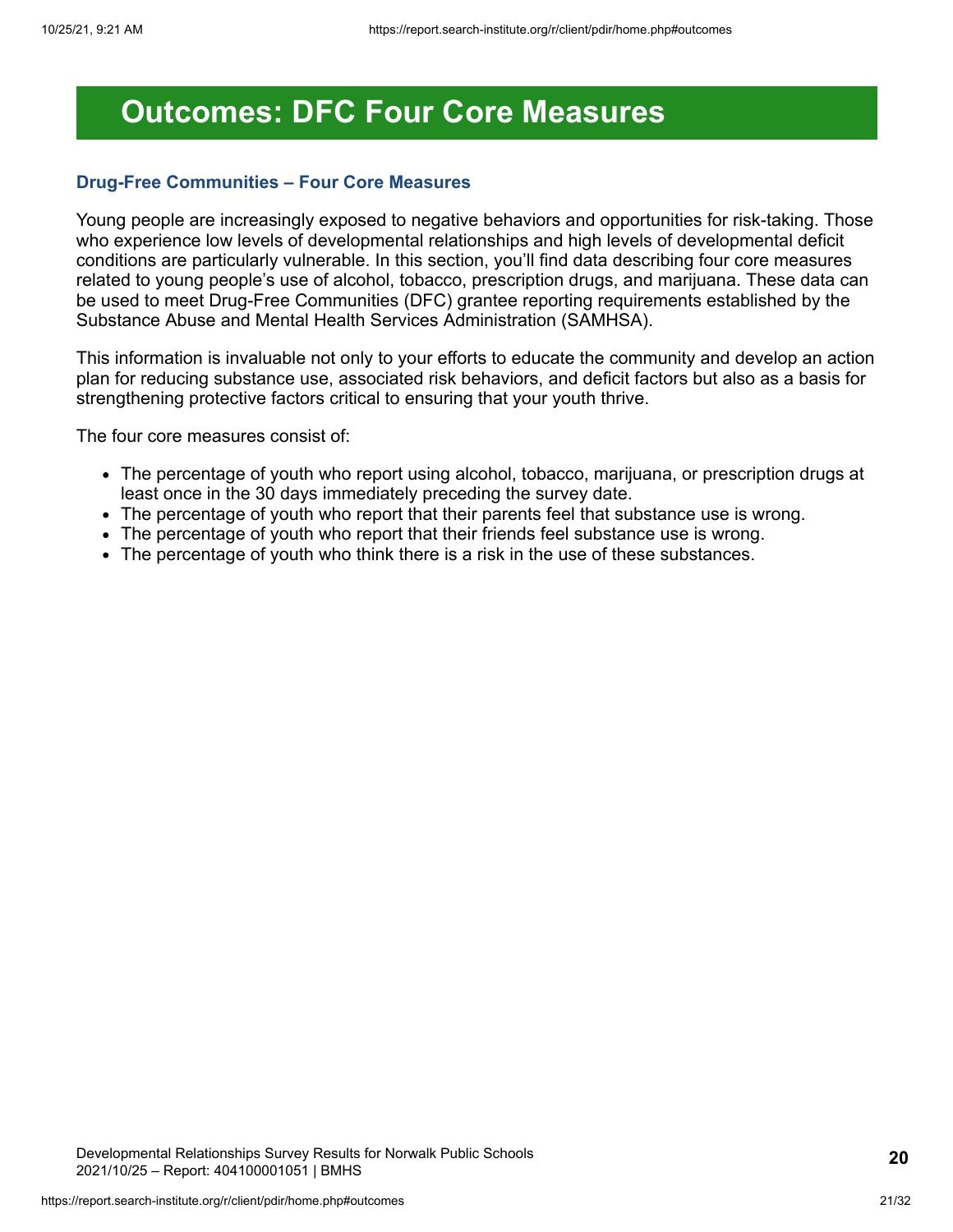### <span id="page-20-0"></span>**Outcomes: DFC Four Core Measures**

#### **Drug-Free Communities – Four Core Measures**

Young people are increasingly exposed to negative behaviors and opportunities for risk-taking. Those who experience low levels of developmental relationships and high levels of developmental deficit conditions are particularly vulnerable. In this section, you'll find data describing four core measures related to young people's use of alcohol, tobacco, prescription drugs, and marijuana. These data can be used to meet Drug-Free Communities (DFC) grantee reporting requirements established by the Substance Abuse and Mental Health Services Administration (SAMHSA).

This information is invaluable not only to your efforts to educate the community and develop an action plan for reducing substance use, associated risk behaviors, and deficit factors but also as a basis for strengthening protective factors critical to ensuring that your youth thrive.

The four core measures consist of:

- The percentage of youth who report using alcohol, tobacco, marijuana, or prescription drugs at least once in the 30 days immediately preceding the survey date.
- The percentage of youth who report that their parents feel that substance use is wrong.
- The percentage of youth who report that their friends feel substance use is wrong.
- The percentage of youth who think there is a risk in the use of these substances.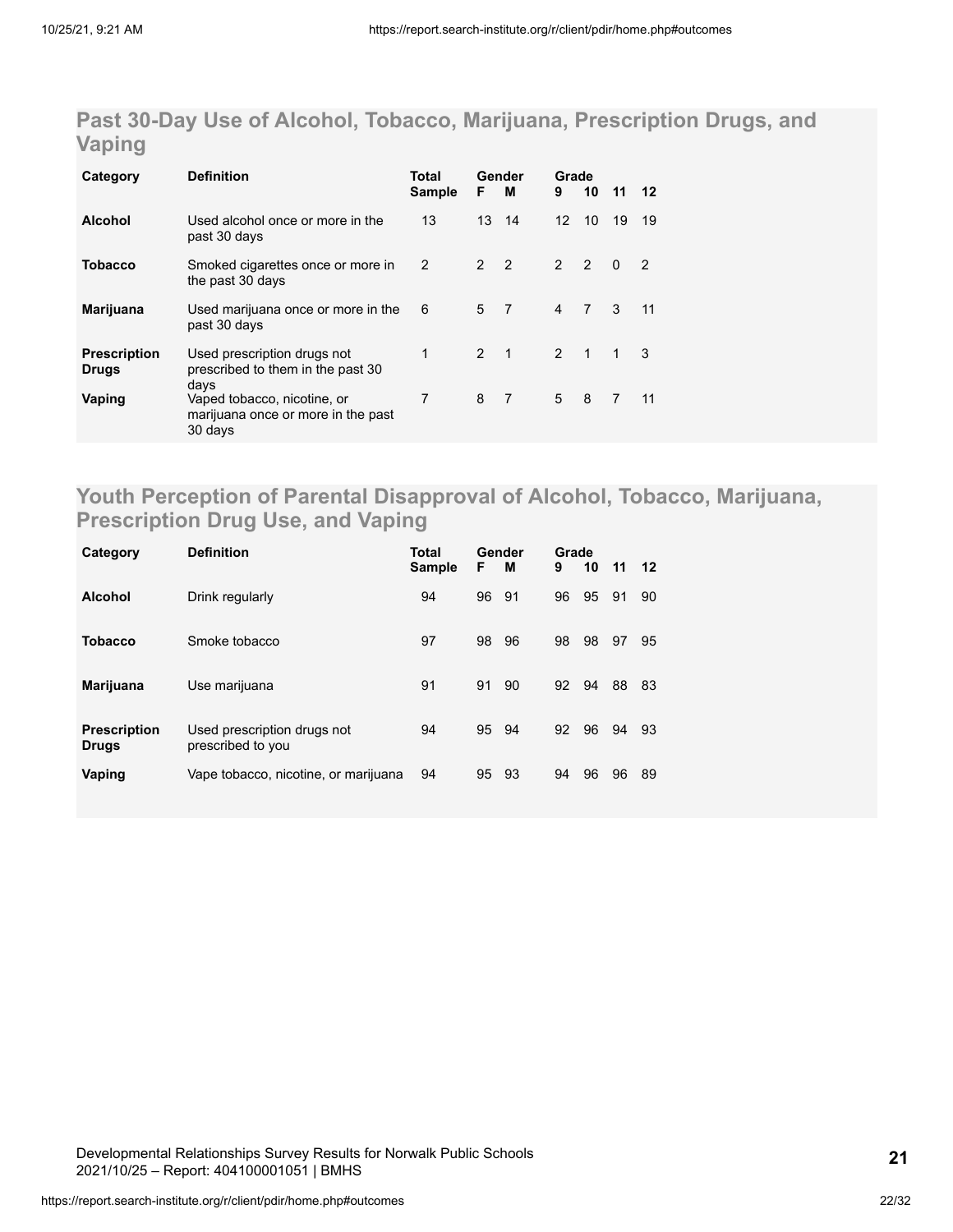### **Past 30-Day Use of Alcohol, Tobacco, Marijuana, Prescription Drugs, and Vaping**

| Category                            | <b>Definition</b>                                                                    | Total<br><b>Sample</b> | F              | Gender<br>м    | Grade<br>9     | 10             | 11             | 12             |
|-------------------------------------|--------------------------------------------------------------------------------------|------------------------|----------------|----------------|----------------|----------------|----------------|----------------|
| <b>Alcohol</b>                      | Used alcohol once or more in the<br>past 30 days                                     | 13                     | 13             | 14             | 12             | 10             | 19             | 19             |
| <b>Tobacco</b>                      | Smoked cigarettes once or more in<br>the past 30 days                                | 2                      | 2 <sub>2</sub> |                | $\mathcal{P}$  | $\overline{2}$ | $\Omega$       | $\overline{2}$ |
| Marijuana                           | Used marijuana once or more in the<br>past 30 days                                   | 6                      | 5              | $\overline{7}$ | $\overline{4}$ | $\overline{7}$ | 3              | 11             |
| <b>Prescription</b><br><b>Drugs</b> | Used prescription drugs not<br>prescribed to them in the past 30                     | 1                      | $2 \quad 1$    |                | $\mathcal{P}$  | $\overline{1}$ | 1              | 3              |
| Vaping                              | days<br>Vaped tobacco, nicotine, or<br>marijuana once or more in the past<br>30 days | 7                      | 8              | $\overline{7}$ | 5              | 8              | $\overline{7}$ | 11             |

### **Youth Perception of Parental Disapproval of Alcohol, Tobacco, Marijuana, Prescription Drug Use, and Vaping**

| Category                            | <b>Definition</b>                                | <b>Total</b><br><b>Sample</b> | F. | Gender<br>м | Grade<br>9 | 10 | 11 | 12 |
|-------------------------------------|--------------------------------------------------|-------------------------------|----|-------------|------------|----|----|----|
| <b>Alcohol</b>                      | Drink regularly                                  | 94                            | 96 | 91          | 96         | 95 | 91 | 90 |
| <b>Tobacco</b>                      | Smoke tobacco                                    | 97                            | 98 | 96          | 98         | 98 | 97 | 95 |
| Marijuana                           | Use marijuana                                    | 91                            | 91 | 90          | 92         | 94 | 88 | 83 |
| <b>Prescription</b><br><b>Drugs</b> | Used prescription drugs not<br>prescribed to you | 94                            | 95 | -94         | 92         | 96 | 94 | 93 |
| Vaping                              | Vape tobacco, nicotine, or marijuana             | 94                            | 95 | - 93        | 94         | 96 | 96 | 89 |

Developmental Relationships Survey Results for Norwalk Public Schools 2021/10/25 – Report: 404100001051 | BMHS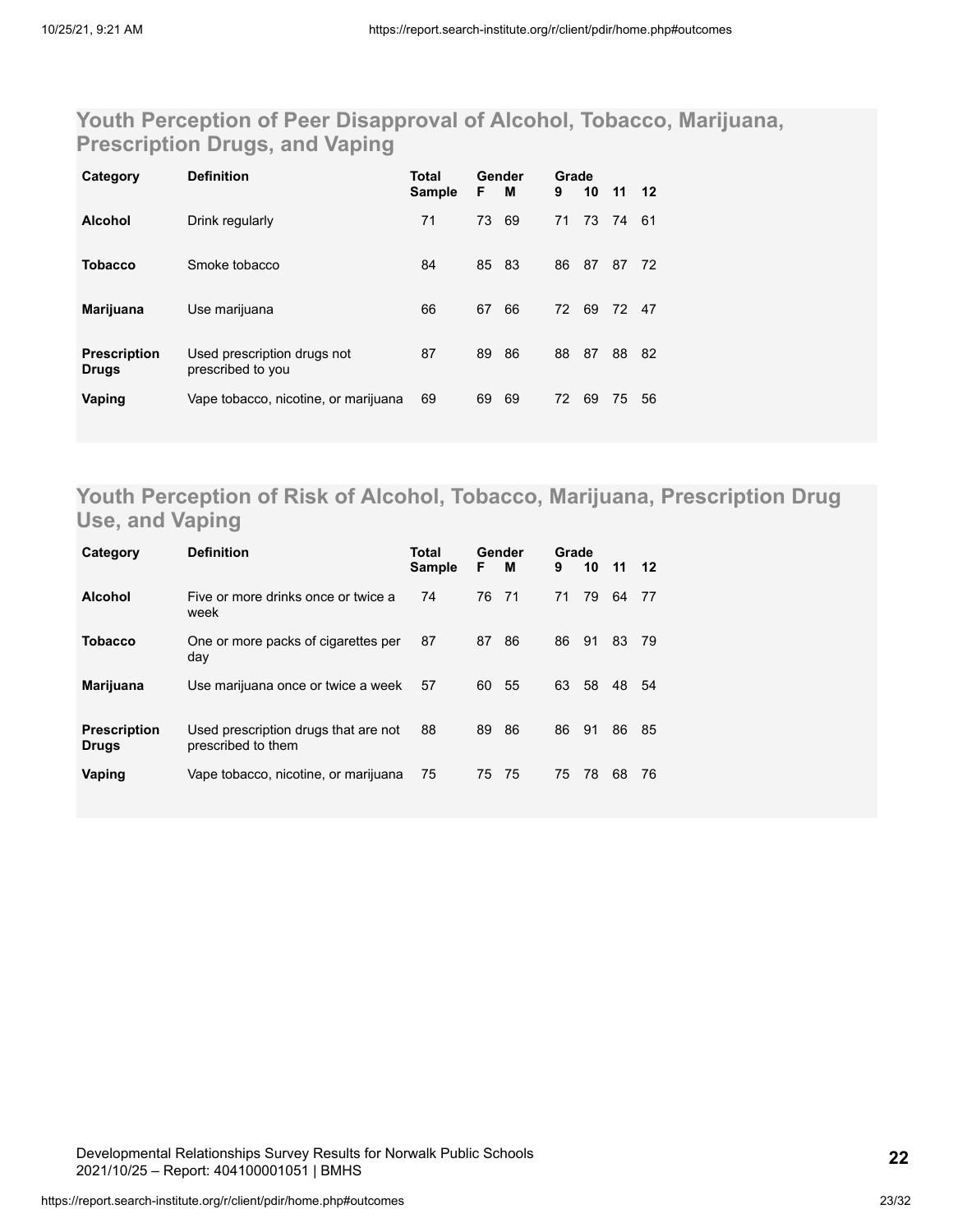### **Youth Perception of Peer Disapproval of Alcohol, Tobacco, Marijuana, Prescription Drugs, and Vaping**

| Category                            | <b>Definition</b>                                | Total<br><b>Sample</b> | F  | Gender<br>м | Grade<br>9 | 10 | 11 12 |    |
|-------------------------------------|--------------------------------------------------|------------------------|----|-------------|------------|----|-------|----|
| <b>Alcohol</b>                      | Drink regularly                                  | 71                     | 73 | 69          | 71         |    | 73 74 | 61 |
| <b>Tobacco</b>                      | Smoke tobacco                                    | 84                     | 85 | 83          | 86         | 87 | 87    | 72 |
| Marijuana                           | Use marijuana                                    | 66                     | 67 | 66          | 72         | 69 | 72 47 |    |
| <b>Prescription</b><br><b>Drugs</b> | Used prescription drugs not<br>prescribed to you | 87                     | 89 | 86          | 88         | 87 | 88    | 82 |
| Vaping                              | Vape tobacco, nicotine, or marijuana             | 69                     | 69 | 69          | 72         | 69 | 75    | 56 |

### **Youth Perception of Risk of Alcohol, Tobacco, Marijuana, Prescription Drug Use, and Vaping**

| Category                            | <b>Definition</b>                                          | Total<br><b>Sample</b> | F  | Gender<br>м | Grade<br>9 | 10   | $11 \quad 12$ |     |
|-------------------------------------|------------------------------------------------------------|------------------------|----|-------------|------------|------|---------------|-----|
| <b>Alcohol</b>                      | Five or more drinks once or twice a<br>week                | 74                     | 76 | 71          | 71         | 79   | 64            | 77  |
| <b>Tobacco</b>                      | One or more packs of cigarettes per<br>day                 | 87                     | 87 | 86          | 86         | - 91 | 83            | -79 |
| Marijuana                           | Use marijuana once or twice a week                         | 57                     | 60 | -55         | 63         | - 58 | 48            | 54  |
| <b>Prescription</b><br><b>Drugs</b> | Used prescription drugs that are not<br>prescribed to them | 88                     | 89 | 86          | 86         | 91   | 86            | 85  |
| Vaping                              | Vape tobacco, nicotine, or marijuana                       | 75                     | 75 | -75         | 75         | 78   | 68            | 76  |

Developmental Relationships Survey Results for Norwalk Public Schools 2021/10/25 – Report: 404100001051 | BMHS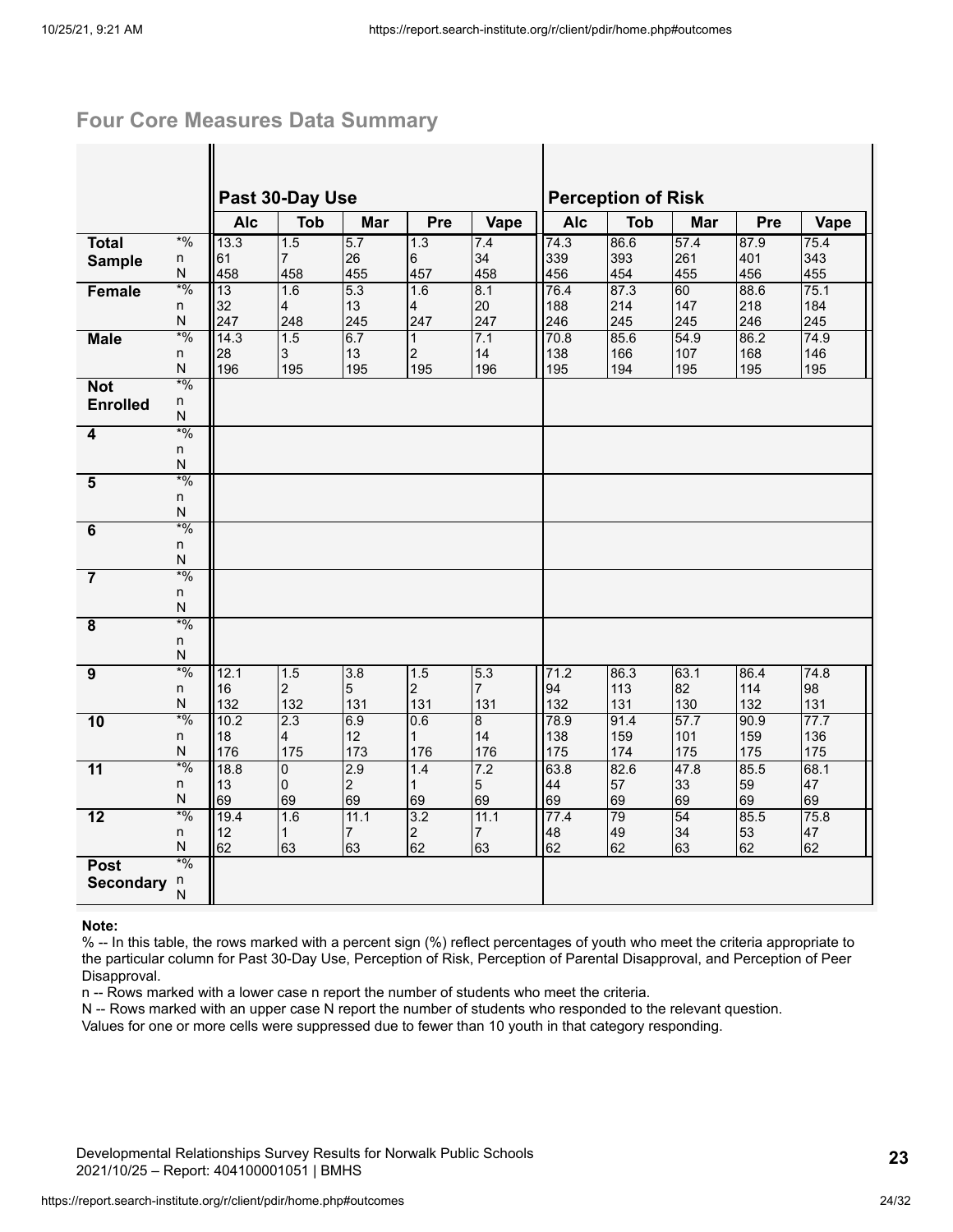### **Four Core Measures Data Summary**

|                         |              |             | Past 30-Day Use     |                      |                    |                       |             | <b>Perception of Risk</b> |             |             |             |
|-------------------------|--------------|-------------|---------------------|----------------------|--------------------|-----------------------|-------------|---------------------------|-------------|-------------|-------------|
|                         |              | <b>Alc</b>  | <b>Tob</b>          | <b>Mar</b>           | Pre                | Vape                  | <b>Alc</b>  | <b>Tob</b>                | <b>Mar</b>  | Pre         | Vape        |
| <b>Total</b>            | $*9/0$       | 13.3        | 1.5                 | 5.7                  | 1.3                | 7.4                   | 74.3        | 86.6                      | 57.4        | 87.9        | 75.4        |
| <b>Sample</b>           | n<br>N       | 61          | $\overline{7}$      | 26                   | 6                  | 34                    | 339         | 393                       | 261         | 401         | 343         |
| Female                  | $*9/0$       | 458<br>13   | 458<br>1.6          | 455<br>5.3           | 457<br>1.6         | 458<br>8.1            | 456<br>76.4 | 454<br>87.3               | 455<br>60   | 456<br>88.6 | 455<br>75.1 |
|                         | n            | 32          | $\overline{4}$      | 13                   | 4                  | 20                    | 188         | 214                       | 147         | 218         | 184         |
|                         | ${\sf N}$    | 247         | 248                 | 245                  | 247                | 247                   | 246         | 245                       | 245         | 246         | 245         |
| <b>Male</b>             | $*9/0$       | 14.3        | 1.5                 | 6.7                  | $\mathbf{1}$       | 7.1                   | 70.8        | 85.6                      | 54.9        | 86.2        | 74.9        |
|                         | n<br>N       | 28<br>196   | $\mathbf{3}$<br>195 | 13<br>195            | 2<br>195           | 14<br>196             | 138<br>195  | 166<br>194                | 107<br>195  | 168<br>195  | 146<br>195  |
| <b>Not</b>              | $*9/0$       |             |                     |                      |                    |                       |             |                           |             |             |             |
| <b>Enrolled</b>         | n            |             |                     |                      |                    |                       |             |                           |             |             |             |
|                         | N            |             |                     |                      |                    |                       |             |                           |             |             |             |
| 4                       | $*9/0$       |             |                     |                      |                    |                       |             |                           |             |             |             |
|                         | n<br>N       |             |                     |                      |                    |                       |             |                           |             |             |             |
| $\overline{5}$          | $*0/0$       |             |                     |                      |                    |                       |             |                           |             |             |             |
|                         | n            |             |                     |                      |                    |                       |             |                           |             |             |             |
|                         | N            |             |                     |                      |                    |                       |             |                           |             |             |             |
| 6                       | $*9/0$<br>n  |             |                     |                      |                    |                       |             |                           |             |             |             |
|                         | N            |             |                     |                      |                    |                       |             |                           |             |             |             |
| $\overline{7}$          | $*9/0$       |             |                     |                      |                    |                       |             |                           |             |             |             |
|                         | n            |             |                     |                      |                    |                       |             |                           |             |             |             |
|                         | N<br>$*9/0$  |             |                     |                      |                    |                       |             |                           |             |             |             |
| $\overline{\mathbf{8}}$ | n            |             |                     |                      |                    |                       |             |                           |             |             |             |
|                         | $\mathsf{N}$ |             |                     |                      |                    |                       |             |                           |             |             |             |
| $\overline{9}$          | $*9/0$       | 12.1        | 1.5                 | 3.8                  | 1.5                | 5.3                   | 71.2        | 86.3                      | 63.1        | 86.4        | 74.8        |
|                         | n            | 16          | $\overline{c}$      | 5                    | $\overline{2}$     | $\overline{7}$        | 94          | 113                       | 82          | 114         | 98          |
| 10                      | N<br>$*9/0$  | 132<br>10.2 | 132<br>2.3          | 131<br>6.9           | 131<br>0.6         | 131<br>$\overline{8}$ | 132<br>78.9 | 131<br>91.4               | 130<br>57.7 | 132<br>90.9 | 131<br>77.7 |
|                         | n            | 18          | $\overline{4}$      | 12                   | $\mathbf{1}$       | 14                    | 138         | 159                       | 101         | 159         | 136         |
|                         | N            | 176         | 175                 | 173                  | 176                | 176                   | 175         | 174                       | 175         | 175         | 175         |
| $\overline{11}$         | $*9/0$       | 18.8        | 0                   | 2.9                  | 1.4                | 7.2                   | 63.8        | 82.6                      | 47.8        | 85.5        | 68.1        |
|                         | n<br>N       | 13<br>69    | $\mathbf 0$<br>69   | $\overline{2}$<br>69 | $\mathbf{1}$<br>69 | $\overline{5}$<br>69  | 44<br>69    | 57<br>69                  | 33<br>69    | 59<br>69    | 47<br>69    |
| $\overline{12}$         | $*9/0$       | 19.4        | 1.6                 | 11.1                 | 3.2                | 11.1                  | 77.4        | 79                        | 54          | 85.5        | 75.8        |
|                         | n            | 12          | $\mathbf{1}$        | $\overline{7}$       | $\overline{c}$     | 7                     | 48          | 49                        | 34          | 53          | 47          |
|                         | ${\sf N}$    | 62          | 63                  | 63                   | 62                 | 63                    | 62          | 62                        | 63          | 62          | 62          |
| <b>Post</b>             | $*9/0$       |             |                     |                      |                    |                       |             |                           |             |             |             |
| <b>Secondary</b>        | n<br>N       |             |                     |                      |                    |                       |             |                           |             |             |             |
|                         |              |             |                     |                      |                    |                       |             |                           |             |             |             |

#### **Note:**

% -- In this table, the rows marked with a percent sign (%) reflect percentages of youth who meet the criteria appropriate to the particular column for Past 30-Day Use, Perception of Risk, Perception of Parental Disapproval, and Perception of Peer Disapproval.

n -- Rows marked with a lower case n report the number of students who meet the criteria.

N -- Rows marked with an upper case N report the number of students who responded to the relevant question.

Values for one or more cells were suppressed due to fewer than 10 youth in that category responding.

Developmental Relationships Survey Results for Norwalk Public Schools 2021/10/25 – Report: 404100001051 | BMHS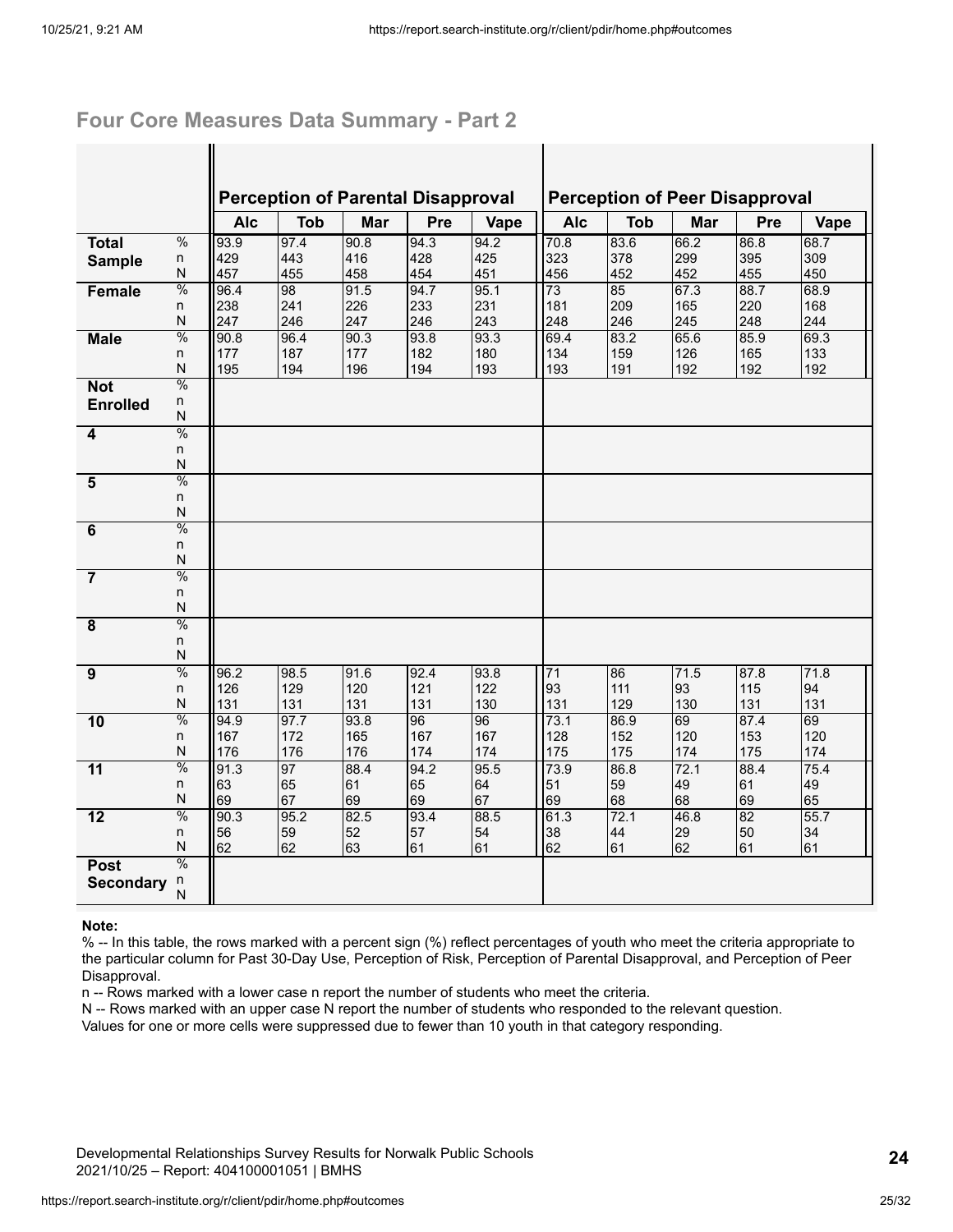### **Four Core Measures Data Summary - Part 2**

 $\mathbf{I}$ 

|                         |               |            | <b>Perception of Parental Disapproval</b> |      |      |      |            |            | <b>Perception of Peer Disapproval</b> |      |      |
|-------------------------|---------------|------------|-------------------------------------------|------|------|------|------------|------------|---------------------------------------|------|------|
|                         |               | <b>Alc</b> | <b>Tob</b>                                | Mar  | Pre  | Vape | <b>Alc</b> | <b>Tob</b> | Mar                                   | Pre  | Vape |
| <b>Total</b>            | $\frac{0}{0}$ | 93.9       | 97.4                                      | 90.8 | 94.3 | 94.2 | 70.8       | 83.6       | 66.2                                  | 86.8 | 68.7 |
| <b>Sample</b>           | n             | 429        | 443                                       | 416  | 428  | 425  | 323        | 378        | 299                                   | 395  | 309  |
|                         | N             | 457        | 455                                       | 458  | 454  | 451  | 456        | 452        | 452                                   | 455  | 450  |
| Female                  | $\%$          | 96.4       | 98                                        | 91.5 | 94.7 | 95.1 | 73         | 85         | 67.3                                  | 88.7 | 68.9 |
|                         | n             | 238        | 241                                       | 226  | 233  | 231  | 181        | 209        | 165                                   | 220  | 168  |
|                         | N             | 247        | 246                                       | 247  | 246  | 243  | 248        | 246        | 245                                   | 248  | 244  |
| <b>Male</b>             | $\frac{0}{0}$ | 90.8       | 96.4                                      | 90.3 | 93.8 | 93.3 | 69.4       | 83.2       | 65.6                                  | 85.9 | 69.3 |
|                         | n             | 177        | 187                                       | 177  | 182  | 180  | 134        | 159        | 126                                   | 165  | 133  |
|                         | N             | 195        | 194                                       | 196  | 194  | 193  | 193        | 191        | 192                                   | 192  | 192  |
| <b>Not</b>              | $\frac{0}{0}$ |            |                                           |      |      |      |            |            |                                       |      |      |
| <b>Enrolled</b>         | n<br>N        |            |                                           |      |      |      |            |            |                                       |      |      |
| 4                       | $\frac{0}{0}$ |            |                                           |      |      |      |            |            |                                       |      |      |
|                         | n             |            |                                           |      |      |      |            |            |                                       |      |      |
|                         | N             |            |                                           |      |      |      |            |            |                                       |      |      |
| $\overline{\mathbf{5}}$ | $\frac{0}{0}$ |            |                                           |      |      |      |            |            |                                       |      |      |
|                         | n             |            |                                           |      |      |      |            |            |                                       |      |      |
|                         | N             |            |                                           |      |      |      |            |            |                                       |      |      |
| $\overline{6}$          | $\frac{0}{0}$ |            |                                           |      |      |      |            |            |                                       |      |      |
|                         | n             |            |                                           |      |      |      |            |            |                                       |      |      |
|                         | N             |            |                                           |      |      |      |            |            |                                       |      |      |
| $\overline{7}$          | $\frac{0}{0}$ |            |                                           |      |      |      |            |            |                                       |      |      |
|                         | n             |            |                                           |      |      |      |            |            |                                       |      |      |
|                         | N             |            |                                           |      |      |      |            |            |                                       |      |      |
| $\overline{8}$          | $\frac{0}{0}$ |            |                                           |      |      |      |            |            |                                       |      |      |
|                         | n             |            |                                           |      |      |      |            |            |                                       |      |      |
|                         | N             |            |                                           |      |      |      |            |            |                                       |      |      |
| $\overline{9}$          | $\frac{0}{0}$ | 96.2       | 98.5                                      | 91.6 | 92.4 | 93.8 | 71         | 86         | 71.5                                  | 87.8 | 71.8 |
|                         | n             | 126        | 129                                       | 120  | 121  | 122  | 93         | 111        | 93                                    | 115  | 94   |
|                         | N             | 131        | 131                                       | 131  | 131  | 130  | 131        | 129        | 130                                   | 131  | 131  |
| 10                      | $\frac{0}{0}$ | 94.9       | 97.7                                      | 93.8 | 96   | 96   | 73.1       | 86.9       | 69                                    | 87.4 | 69   |
|                         | n             | 167        | 172                                       | 165  | 167  | 167  | 128        | 152        | 120                                   | 153  | 120  |
|                         | N             | 176        | 176                                       | 176  | 174  | 174  | 175        | 175        | 174                                   | 175  | 174  |
| $\overline{11}$         | $\frac{0}{0}$ | 91.3       | 97                                        | 88.4 | 94.2 | 95.5 | 73.9       | 86.8       | 72.1                                  | 88.4 | 75.4 |
|                         | n             | 63         | 65                                        | 61   | 65   | 64   | 51         | 59         | 49                                    | 61   | 49   |
|                         | N             | 69         | 67                                        | 69   | 69   | 67   | 69         | 68         | 68                                    | 69   | 65   |
| $\overline{12}$         | $\frac{0}{0}$ | 90.3       | 95.2                                      | 82.5 | 93.4 | 88.5 | 61.3       | 72.1       | 46.8                                  | 82   | 55.7 |
|                         | n             | 56         | 59                                        | 52   | 57   | 54   | 38         | 44         | 29                                    | 50   | 34   |
|                         | N             | 62         | 62                                        | 63   | 61   | 61   | 62         | 61         | 62                                    | 61   | 61   |
| <b>Post</b>             | $\frac{0}{0}$ |            |                                           |      |      |      |            |            |                                       |      |      |
| <b>Secondary</b>        | n<br>N        |            |                                           |      |      |      |            |            |                                       |      |      |
|                         |               |            |                                           |      |      |      |            |            |                                       |      |      |

#### **Note:**

% -- In this table, the rows marked with a percent sign (%) reflect percentages of youth who meet the criteria appropriate to the particular column for Past 30-Day Use, Perception of Risk, Perception of Parental Disapproval, and Perception of Peer Disapproval.

n -- Rows marked with a lower case n report the number of students who meet the criteria.

N -- Rows marked with an upper case N report the number of students who responded to the relevant question.

Values for one or more cells were suppressed due to fewer than 10 youth in that category responding.

Developmental Relationships Survey Results for Norwalk Public Schools 2021/10/25 – Report: 404100001051 | BMHS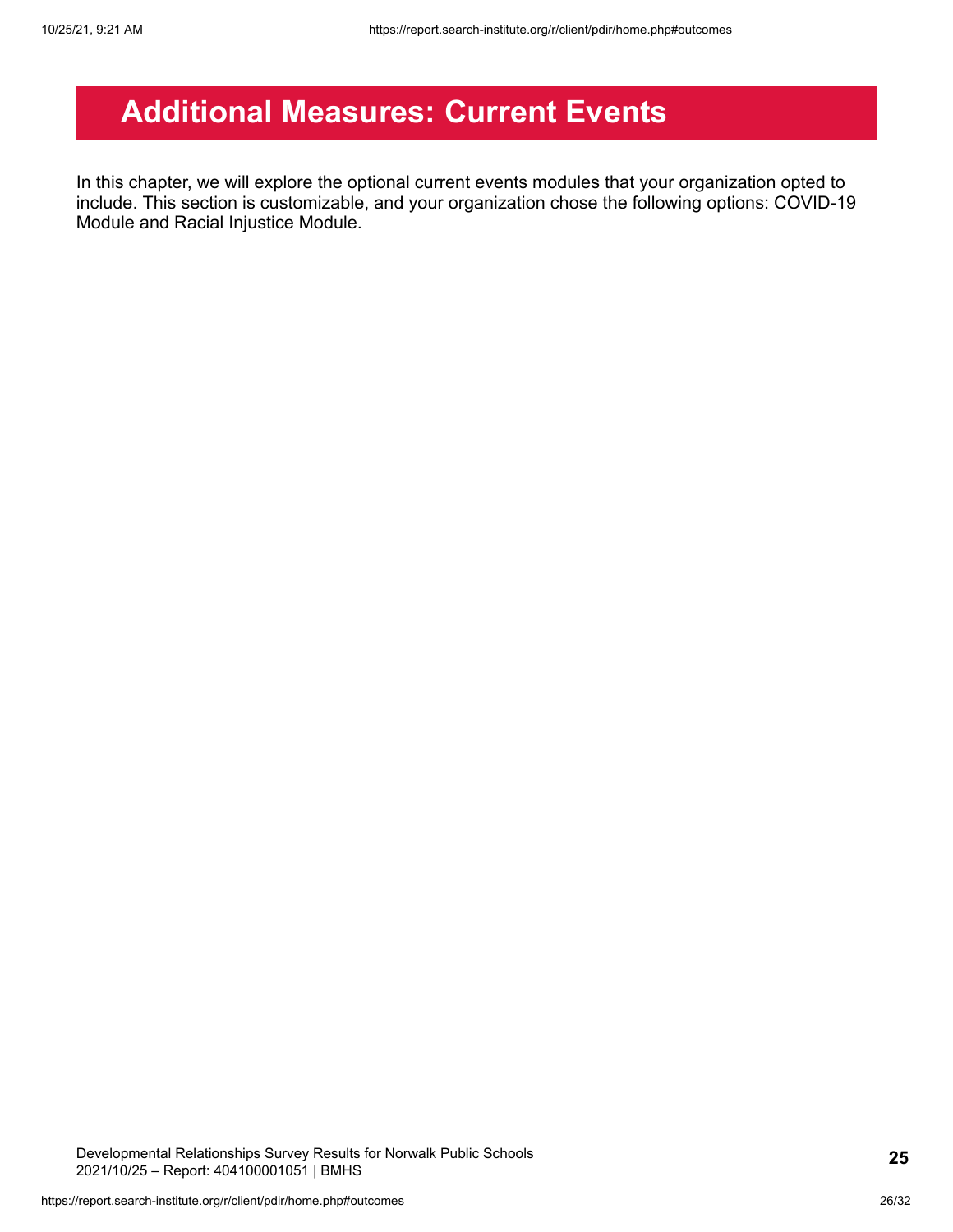# <span id="page-25-0"></span>**Additional Measures: Current Events**

In this chapter, we will explore the optional current events modules that your organization opted to include. This section is customizable, and your organization chose the following options: COVID-19 Module and Racial Injustice Module.

Developmental Relationships Survey Results for Norwalk Public Schools 2021/10/25 – Report: 404100001051 | BMHS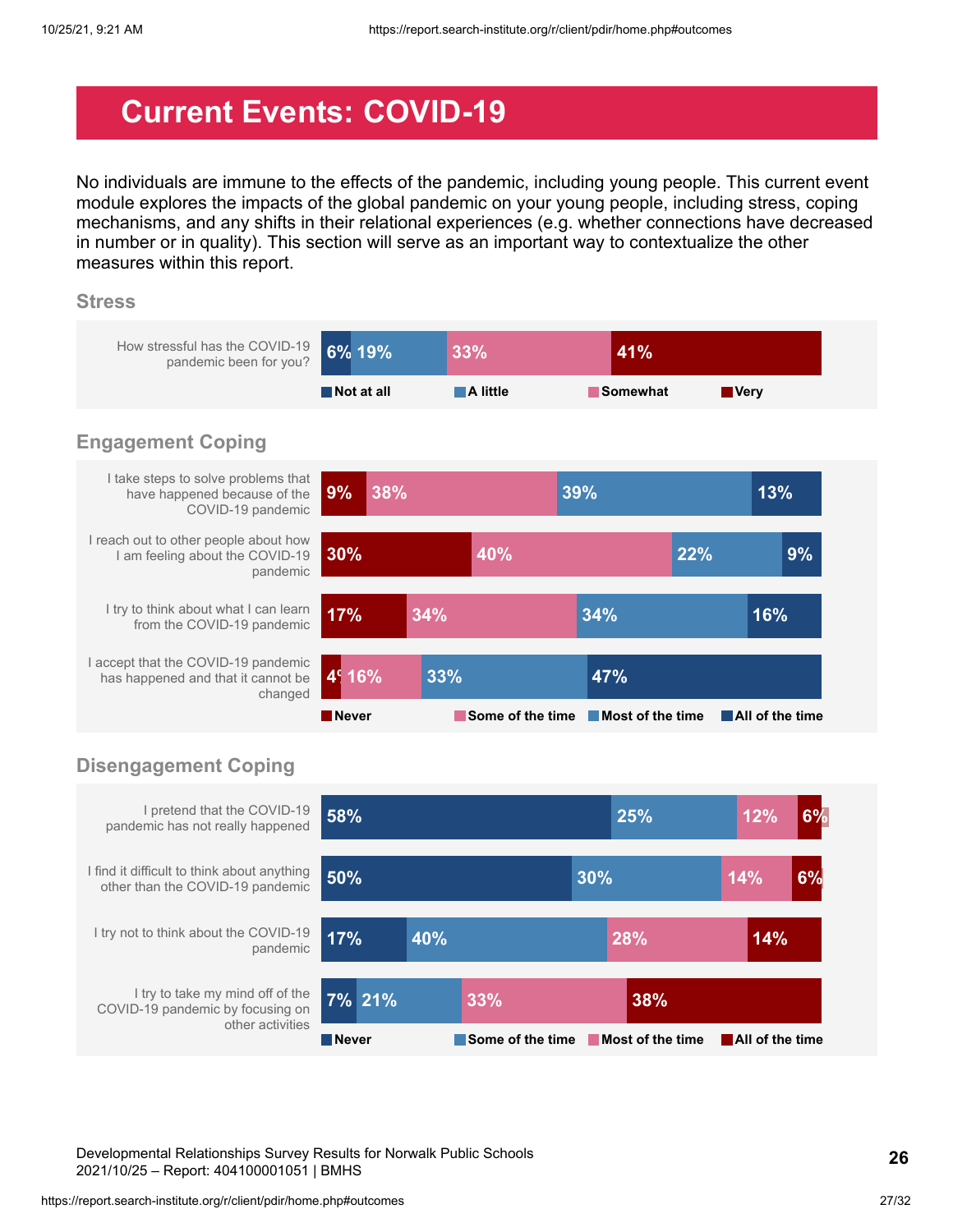# <span id="page-26-0"></span>**Current Events: COVID-19**

No individuals are immune to the effects of the pandemic, including young people. This current event module explores the impacts of the global pandemic on your young people, including stress, coping mechanisms, and any shifts in their relational experiences (e.g. whether connections have decreased in number or in quality). This section will serve as an important way to contextualize the other measures within this report.

#### **Stress**



### **Disengagement Coping**



Developmental Relationships Survey Results for Norwalk Public Schools 2021/10/25 – Report: 404100001051 | BMHS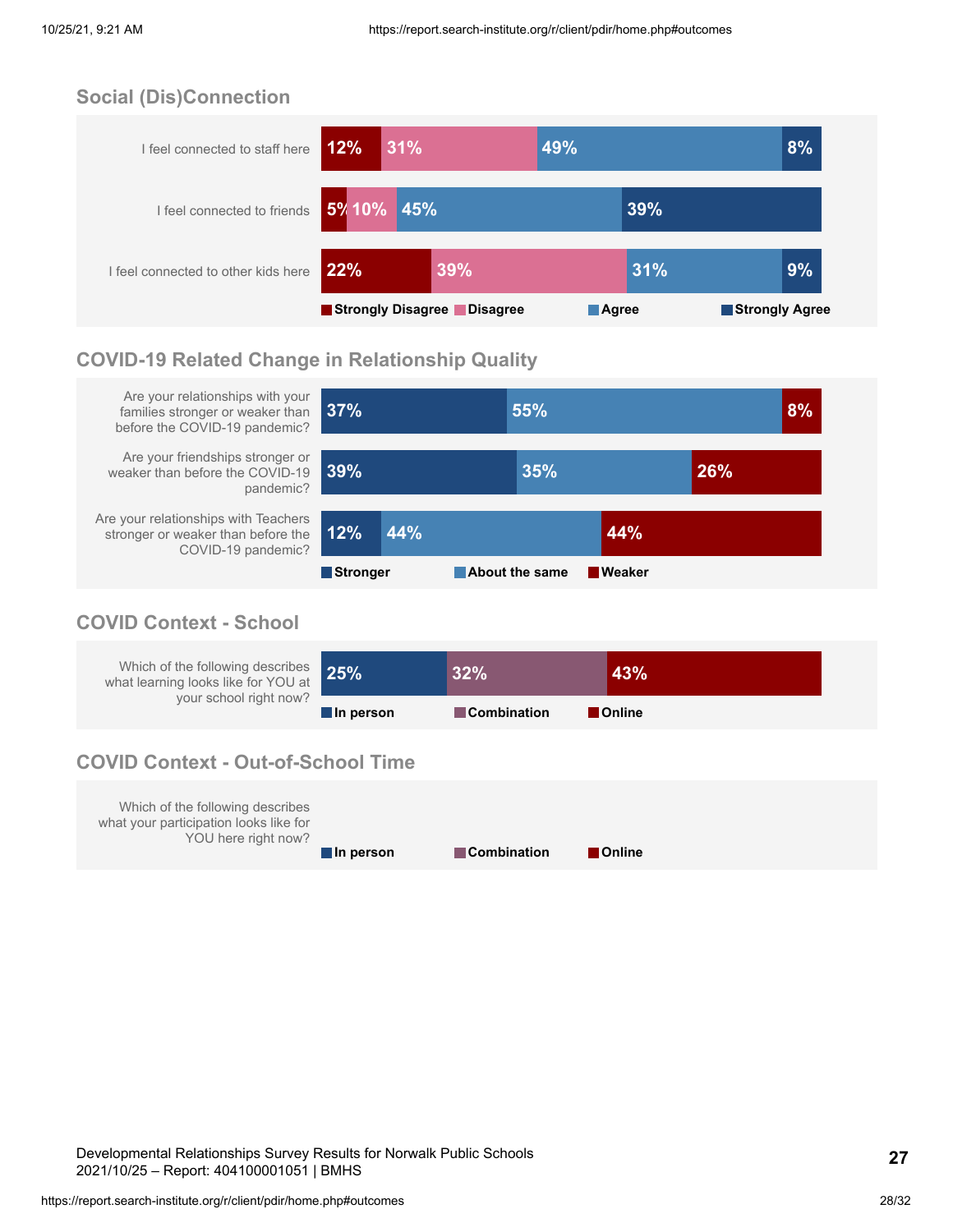### **Social (Dis)Connection**



### **COVID-19 Related Change in Relationship Quality**



### **COVID Context - School**

| Which of the following describes 25%<br>what learning looks like for YOU at |           | 32%                | 43%           |
|-----------------------------------------------------------------------------|-----------|--------------------|---------------|
| your school right now?                                                      | In person | <b>Combination</b> | <b>Online</b> |

### **COVID Context - Out-of-School Time**

| Which of the following describes<br>what your participation looks like for<br>YOU here right now? |           |                    |                |
|---------------------------------------------------------------------------------------------------|-----------|--------------------|----------------|
|                                                                                                   | In person | <b>Combination</b> | <b>Conline</b> |

Developmental Relationships Survey Results for Norwalk Public Schools 2021/10/25 – Report: 404100001051 | BMHS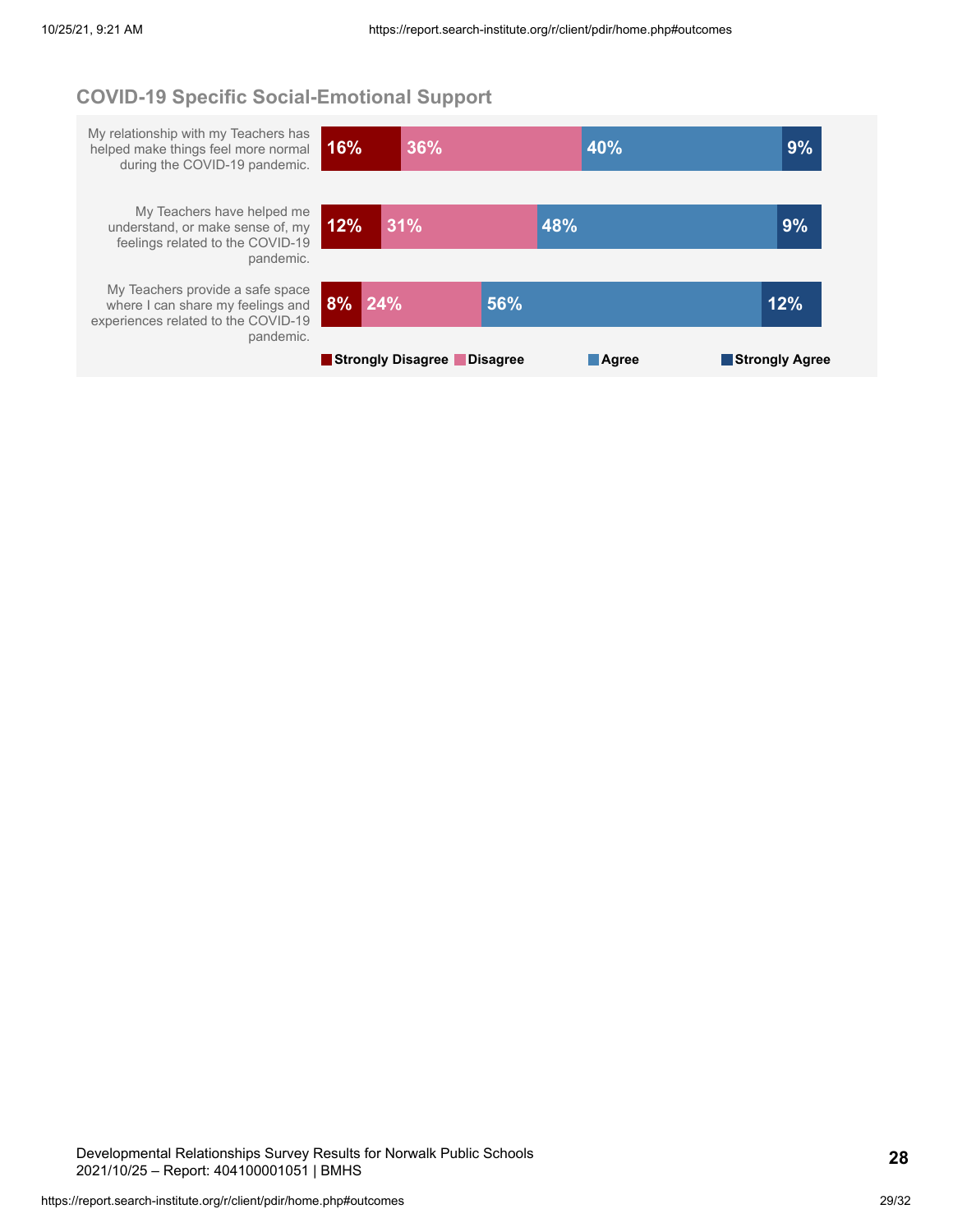### **COVID-19 Specific Social-Emotional Support**

My relationship with my Teachers has helped make things feel more normal during the COVID-19 pandemic. **16% 36% 40% 9%** My Teachers have helped me understand, or make sense of, my feelings related to the COVID-19 pandemic. **12% 31% 48% 9%** My Teachers provide a safe space where I can share my feelings and experiences related to the COVID-19 pandemic. **8% 24% 56% 12% Strongly Disagree Disagree Agree Strongly Agree**

Developmental Relationships Survey Results for Norwalk Public Schools 2021/10/25 – Report: 404100001051 | BMHS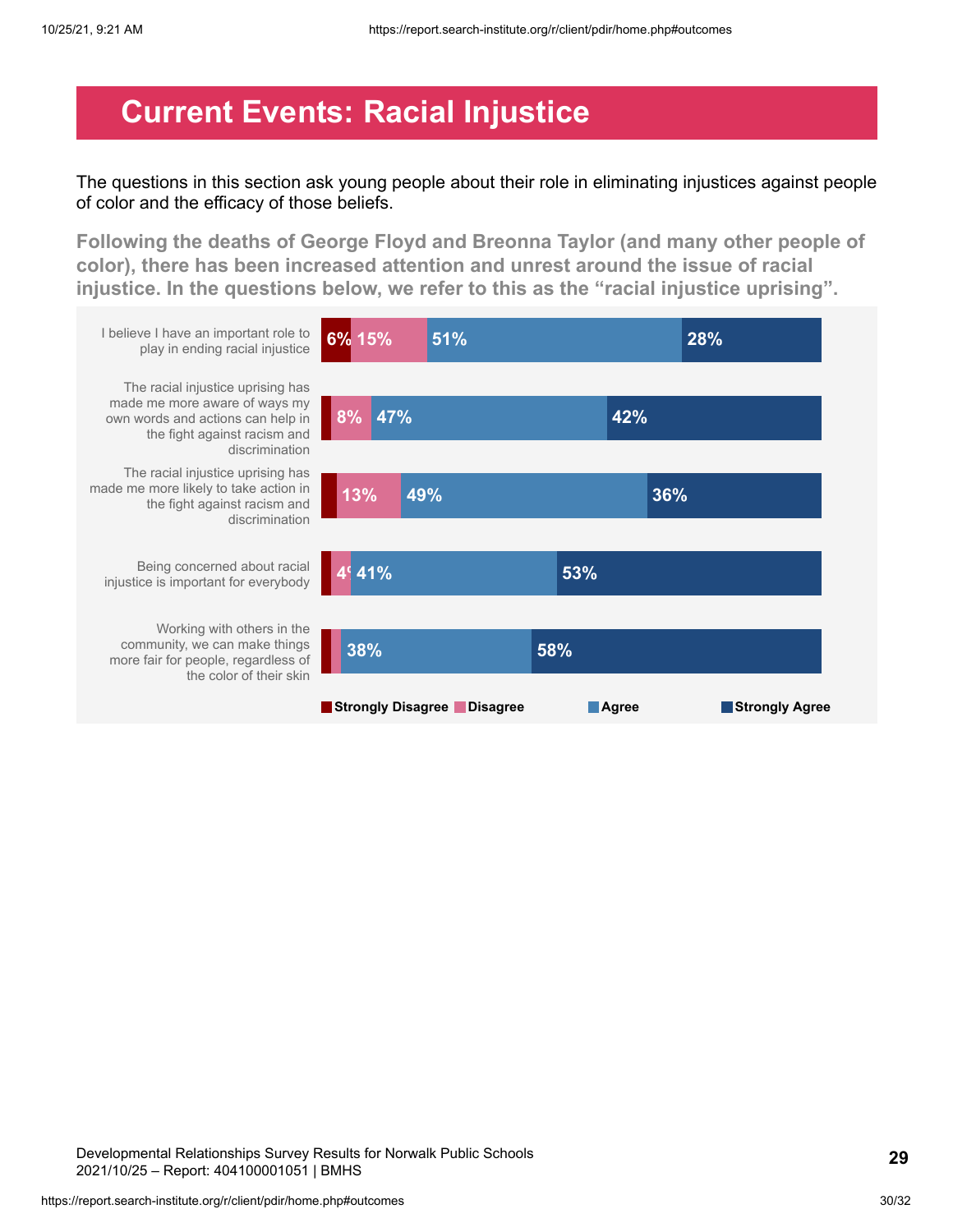## <span id="page-29-0"></span>**Current Events: Racial Injustice**

The questions in this section ask young people about their role in eliminating injustices against people of color and the efficacy of those beliefs.

**Following the deaths of George Floyd and Breonna Taylor (and many other people of color), there has been increased attention and unrest around the issue of racial injustice. In the questions below, we refer to this as the "racial injustice uprising".**



Developmental Relationships Survey Results for Norwalk Public Schools 2021/10/25 – Report: 404100001051 | BMHS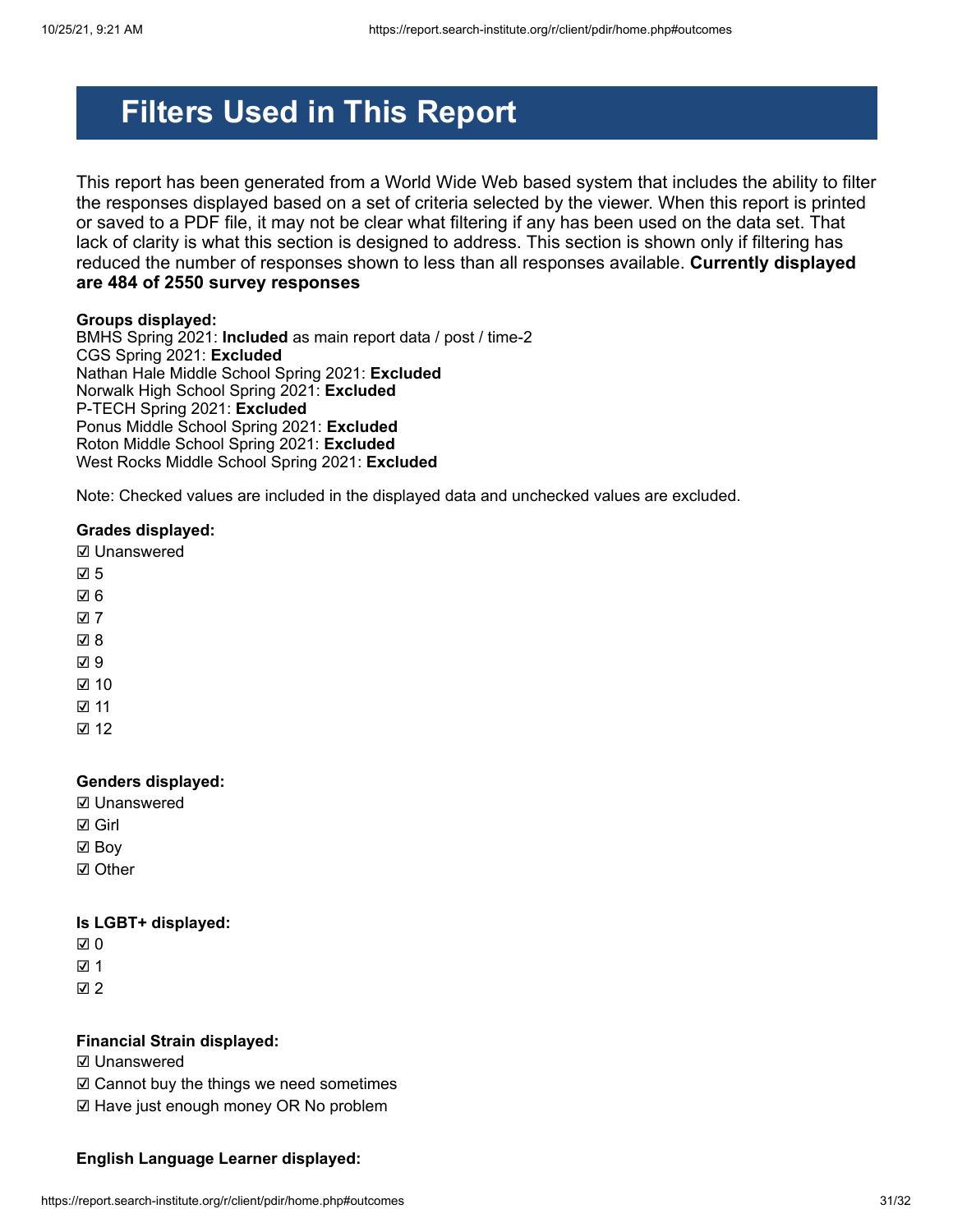# **Filters Used in This Report**

This report has been generated from a World Wide Web based system that includes the ability to filter the responses displayed based on a set of criteria selected by the viewer. When this report is printed or saved to a PDF file, it may not be clear what filtering if any has been used on the data set. That lack of clarity is what this section is designed to address. This section is shown only if filtering has reduced the number of responses shown to less than all responses available. **Currently displayed are 484 of 2550 survey responses**

#### **Groups displayed:**

BMHS Spring 2021: **Included** as main report data / post / time-2 CGS Spring 2021: **Excluded** Nathan Hale Middle School Spring 2021: **Excluded** Norwalk High School Spring 2021: **Excluded** P-TECH Spring 2021: **Excluded** Ponus Middle School Spring 2021: **Excluded** Roton Middle School Spring 2021: **Excluded** West Rocks Middle School Spring 2021: **Excluded**

Note: Checked values are included in the displayed data and unchecked values are excluded.

#### **Grades displayed:**

☑ Unanswered

- ☑ 5
- ☑ 6
- ☑ 7
- ☑ 8
- ☑ 9
- ☑ 10
- ☑ 11
- ☑ 12

#### **Genders displayed:**

- ☑ Unanswered
- ☑ Girl
- ☑ Boy
- ☑ Other

#### **Is LGBT+ displayed:**

- ☑ 0
- ☑ 1
- ☑ 2

#### **Financial Strain displayed:**

- ☑ Unanswered
- ☑ Cannot buy the things we need sometimes
- ☑ Have just enough money OR No problem

#### **English Language Learner displayed:**